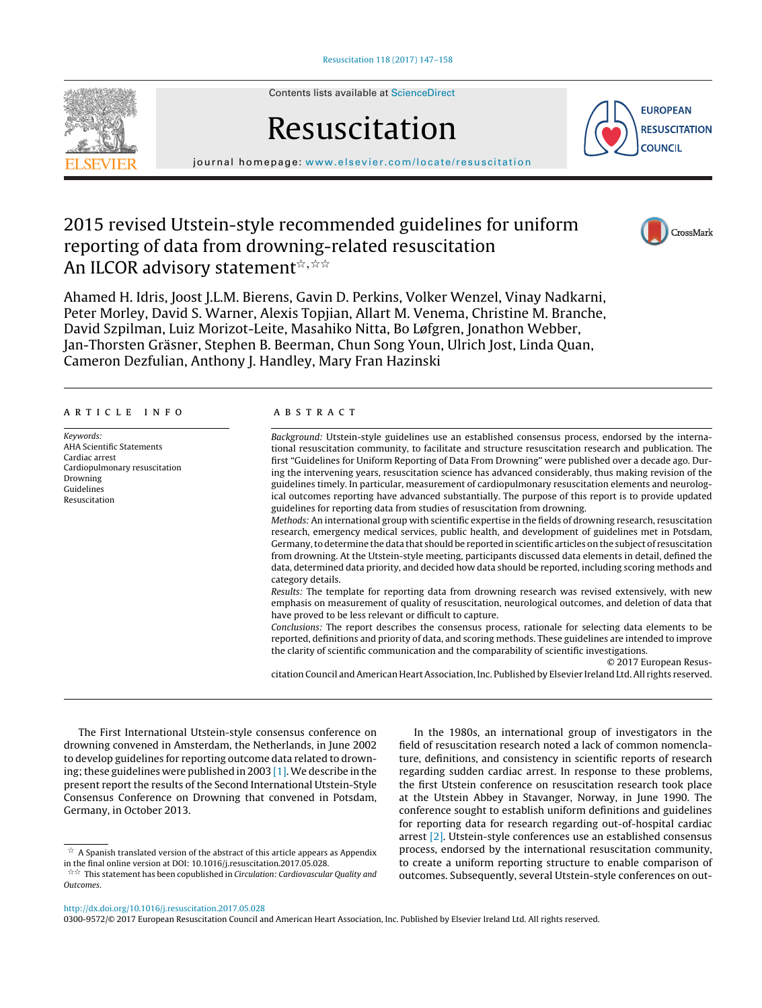Contents lists available at [ScienceDirect](http://www.sciencedirect.com/science/journal/03009572)

# Resuscitation



iournal homepage: [www.elsevier.com/locate/resuscitation](http://www.elsevier.com/locate/resuscitation)

# 2015 revised Utstein-style recommended guidelines for uniform reporting of data from drowning-related resuscitation An ILCOR advisory statement $^{\star, \, \star\, \star}$



Ahamed H. Idris, Joost J.L.M. Bierens, Gavin D. Perkins, Volker Wenzel, Vinay Nadkarni, Peter Morley, David S. Warner, Alexis Topjian, Allart M. Venema, Christine M. Branche, David Szpilman, Luiz Morizot-Leite, Masahiko Nitta, Bo Løfgren, Jonathon Webber, Jan-Thorsten Gräsner, Stephen B. Beerman, Chun Song Youn, Ulrich Jost, Linda Quan, Cameron Dezfulian, Anthony J. Handley, Mary Fran Hazinski

#### a r t i c l e i n f o

Keywords: AHA Scientific Statements Cardiac arrest Cardiopulmonary resuscitation Drowning Guidelines Resuscitation

#### A B S T R A C T

Background: Utstein-style guidelines use an established consensus process, endorsed by the international resuscitation community, to facilitate and structure resuscitation research and publication. The first "Guidelines for Uniform Reporting of Data From Drowning" were published over a decade ago. During the intervening years, resuscitation science has advanced considerably, thus making revision of the guidelines timely. In particular, measurement of cardiopulmonary resuscitation elements and neurological outcomes reporting have advanced substantially. The purpose of this report is to provide updated guidelines for reporting data from studies of resuscitation from drowning.

Methods: An international group with scientific expertise in the fields of drowning research, resuscitation research, emergency medical services, public health, and development of guidelines met in Potsdam, Germany,to determine the data that should be reported in scientific articles on the subject of resuscitation from drowning. At the Utstein-style meeting, participants discussed data elements in detail, defined the data, determined data priority, and decided how data should be reported, including scoring methods and category details.

Results: The template for reporting data from drowning research was revised extensively, with new emphasis on measurement of quality of resuscitation, neurological outcomes, and deletion of data that have proved to be less relevant or difficult to capture.

Conclusions: The report describes the consensus process, rationale for selecting data elements to be reported, definitions and priority of data, and scoring methods. These guidelines are intended to improve the clarity of scientific communication and the comparability of scientific investigations.

© 2017 European Resus-

citation Council and American Heart Association, Inc. Published by Elsevier Ireland Ltd. All rights reserved.

The First International Utstein-style consensus conference on drowning convened in Amsterdam, the Netherlands, in June 2002 to develop guidelines for reporting outcome data related to drowning; these guidelines were published in 2003  $[1]$ . We describe in the present report the results of the Second International Utstein-Style Consensus Conference on Drowning that convened in Potsdam, Germany, in October 2013.

In the 1980s, an international group of investigators in the field of resuscitation research noted a lack of common nomenclature, definitions, and consistency in scientific reports of research regarding sudden cardiac arrest. In response to these problems, the first Utstein conference on resuscitation research took place at the Utstein Abbey in Stavanger, Norway, in June 1990. The conference sought to establish uniform definitions and guidelines for reporting data for research regarding out-of-hospital cardiac arrest [\[2\].](#page-10-0) Utstein-style conferences use an established consensus process, endorsed by the international resuscitation community, to create a uniform reporting structure to enable comparison of outcomes. Subsequently, several Utstein-style conferences on out-

[http://dx.doi.org/10.1016/j.resuscitation.2017.05.028](dx.doi.org/10.1016/j.resuscitation.2017.05.028)

0300-9572/© 2017 European Resuscitation Council and American Heart Association, Inc. Published by Elsevier Ireland Ltd. All rights reserved.

 $\mathrm{\hat{x}}$  A Spanish translated version of the abstract of this article appears as Appendix in the final online version at DOI: 10.1016/j.resuscitation.2017.05.028.

 $\stackrel{\scriptstyle\leftrightarrow}{\scriptstyle\times}\stackrel{\scriptstyle\times}{\scriptstyle\times}$  This statement has been copublished in Circulation: Cardiovascular Quality and Outcomes.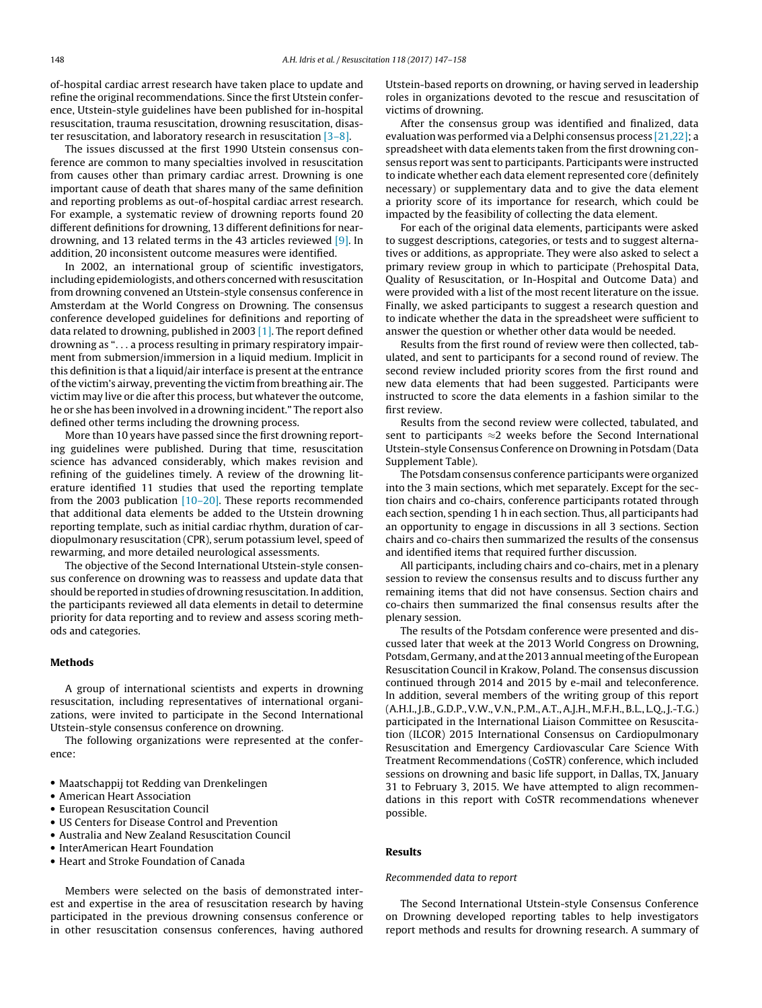of-hospital cardiac arrest research have taken place to update and refine the original recommendations. Since the first Utstein conference, Utstein-style guidelines have been published for in-hospital resuscitation, trauma resuscitation, drowning resuscitation, disaster resuscitation, and laboratory research in resuscitation [\[3–8\].](#page-10-0)

The issues discussed at the first 1990 Utstein consensus conference are common to many specialties involved in resuscitation from causes other than primary cardiac arrest. Drowning is one important cause of death that shares many of the same definition and reporting problems as out-of-hospital cardiac arrest research. For example, a systematic review of drowning reports found 20 different definitions for drowning, 13 different definitions for neardrowning, and 13 related terms in the 43 articles reviewed [\[9\].](#page-10-0) In addition, 20 inconsistent outcome measures were identified.

In 2002, an international group of scientific investigators, including epidemiologists, and others concerned with resuscitation from drowning convened an Utstein-style consensus conference in Amsterdam at the World Congress on Drowning. The consensus conference developed guidelines for definitions and reporting of data related to drowning, published in 2003 [\[1\].](#page-10-0) The report defined drowning as ". . . a process resulting in primary respiratory impairment from submersion/immersion in a liquid medium. Implicit in this definition is that a liquid/air interface is present at the entrance ofthe victim's airway, preventing the victim from breathing air. The victim may live or die after this process, but whatever the outcome, he or she has been involved in a drowning incident." The report also defined other terms including the drowning process.

More than 10 years have passed since the first drowning reporting guidelines were published. During that time, resuscitation science has advanced considerably, which makes revision and refining of the guidelines timely. A review of the drowning literature identified 11 studies that used the reporting template from the 2003 publication [\[10–20\].](#page-10-0) These reports recommended that additional data elements be added to the Utstein drowning reporting template, such as initial cardiac rhythm, duration of cardiopulmonary resuscitation (CPR), serum potassium level, speed of rewarming, and more detailed neurological assessments.

The objective of the Second International Utstein-style consensus conference on drowning was to reassess and update data that should be reported in studies of drowning resuscitation. In addition, the participants reviewed all data elements in detail to determine priority for data reporting and to review and assess scoring methods and categories.

# **Methods**

A group of international scientists and experts in drowning resuscitation, including representatives of international organizations, were invited to participate in the Second International Utstein-style consensus conference on drowning.

The following organizations were represented at the conference:

- Maatschappij tot Redding van Drenkelingen
- American Heart Association
- European Resuscitation Council
- US Centers for Disease Control and Prevention
- Australia and New Zealand Resuscitation Council
- InterAmerican Heart Foundation
- Heart and Stroke Foundation of Canada

Members were selected on the basis of demonstrated interest and expertise in the area of resuscitation research by having participated in the previous drowning consensus conference or in other resuscitation consensus conferences, having authored

Utstein-based reports on drowning, or having served in leadership roles in organizations devoted to the rescue and resuscitation of victims of drowning.

After the consensus group was identified and finalized, data evaluation was performed via a Delphi consensus process [\[21,22\];](#page-10-0) a spreadsheet with data elements taken from the first drowning consensus report was sent to participants. Participants were instructed to indicate whether each data element represented core (definitely necessary) or supplementary data and to give the data element a priority score of its importance for research, which could be impacted by the feasibility of collecting the data element.

For each of the original data elements, participants were asked to suggest descriptions, categories, or tests and to suggest alternatives or additions, as appropriate. They were also asked to select a primary review group in which to participate (Prehospital Data, Quality of Resuscitation, or In-Hospital and Outcome Data) and were provided with a list of the most recent literature on the issue. Finally, we asked participants to suggest a research question and to indicate whether the data in the spreadsheet were sufficient to answer the question or whether other data would be needed.

Results from the first round of review were then collected, tabulated, and sent to participants for a second round of review. The second review included priority scores from the first round and new data elements that had been suggested. Participants were instructed to score the data elements in a fashion similar to the first review.

Results from the second review were collected, tabulated, and sent to participants  $\approx$ 2 weeks before the Second International Utstein-style Consensus Conference on Drowning in Potsdam (Data Supplement Table).

The Potsdam consensus conference participants were organized into the 3 main sections, which met separately. Except for the section chairs and co-chairs, conference participants rotated through each section, spending 1 h in each section. Thus, all participants had an opportunity to engage in discussions in all 3 sections. Section chairs and co-chairs then summarized the results of the consensus and identified items that required further discussion.

All participants, including chairs and co-chairs, met in a plenary session to review the consensus results and to discuss further any remaining items that did not have consensus. Section chairs and co-chairs then summarized the final consensus results after the plenary session.

The results of the Potsdam conference were presented and discussed later that week at the 2013 World Congress on Drowning, Potsdam, Germany, and at the 2013 annual meeting of the European Resuscitation Council in Krakow, Poland. The consensus discussion continued through 2014 and 2015 by e-mail and teleconference. In addition, several members of the writing group of this report (A.H.I.,J.B., G.D.P.,V.W.,V.N., P.M.,A.T.,A.J.H.,M.F.H.,B.L., L.Q.,J.-T.G.) participated in the International Liaison Committee on Resuscitation (ILCOR) 2015 International Consensus on Cardiopulmonary Resuscitation and Emergency Cardiovascular Care Science With Treatment Recommendations (CoSTR) conference, which included sessions on drowning and basic life support, in Dallas, TX, January 31 to February 3, 2015. We have attempted to align recommendations in this report with CoSTR recommendations whenever possible.

#### **Results**

#### Recommended data to report

The Second International Utstein-style Consensus Conference on Drowning developed reporting tables to help investigators report methods and results for drowning research. A summary of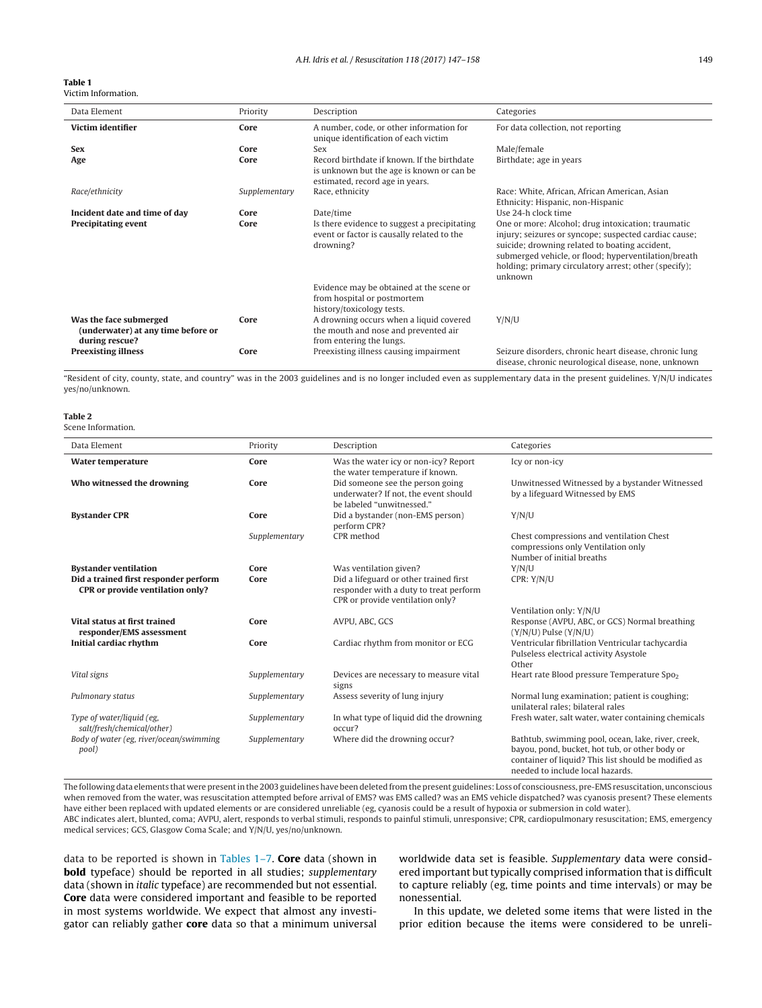<span id="page-2-0"></span>Victim Information.

| Data Element                                                                   | Priority      | Description                                                                                                                 | Categories                                                                                                                                                                                                                                                                                |
|--------------------------------------------------------------------------------|---------------|-----------------------------------------------------------------------------------------------------------------------------|-------------------------------------------------------------------------------------------------------------------------------------------------------------------------------------------------------------------------------------------------------------------------------------------|
| Victim identifier                                                              | Core          | A number, code, or other information for<br>unique identification of each victim                                            | For data collection, not reporting                                                                                                                                                                                                                                                        |
| <b>Sex</b>                                                                     | Core          | Sex                                                                                                                         | Male/female                                                                                                                                                                                                                                                                               |
| Age                                                                            | Core          | Record birthdate if known. If the birthdate<br>is unknown but the age is known or can be<br>estimated, record age in years. | Birthdate; age in years                                                                                                                                                                                                                                                                   |
| Race/ethnicity                                                                 | Supplementary | Race, ethnicity                                                                                                             | Race: White, African, African American, Asian<br>Ethnicity: Hispanic, non-Hispanic                                                                                                                                                                                                        |
| Incident date and time of day                                                  | Core          | Date/time                                                                                                                   | Use 24-h clock time                                                                                                                                                                                                                                                                       |
| <b>Precipitating event</b>                                                     | Core          | Is there evidence to suggest a precipitating<br>event or factor is causally related to the<br>drowning?                     | One or more: Alcohol; drug intoxication; traumatic<br>injury; seizures or syncope; suspected cardiac cause;<br>suicide; drowning related to boating accident,<br>submerged vehicle, or flood; hyperventilation/breath<br>holding; primary circulatory arrest; other (specify);<br>unknown |
|                                                                                |               | Evidence may be obtained at the scene or<br>from hospital or postmortem<br>history/toxicology tests.                        |                                                                                                                                                                                                                                                                                           |
| Was the face submerged<br>(underwater) at any time before or<br>during rescue? | Core          | A drowning occurs when a liquid covered<br>the mouth and nose and prevented air<br>from entering the lungs.                 | Y/N/U                                                                                                                                                                                                                                                                                     |
| <b>Preexisting illness</b>                                                     | Core          | Preexisting illness causing impairment                                                                                      | Seizure disorders, chronic heart disease, chronic lung<br>disease, chronic neurological disease, none, unknown                                                                                                                                                                            |

"Resident of city, county, state, and country" was in the 2003 guidelines and is no longer included even as supplementary data in the present guidelines. Y/N/U indicates yes/no/unknown.

#### **Table 2**

Scene Information.

| Data Element                                                              | Priority      | Description                                                                                                          | Categories                                                                                                                                                                                       |
|---------------------------------------------------------------------------|---------------|----------------------------------------------------------------------------------------------------------------------|--------------------------------------------------------------------------------------------------------------------------------------------------------------------------------------------------|
| <b>Water temperature</b>                                                  | Core          | Was the water icy or non-icy? Report<br>the water temperature if known.                                              | Icy or non-icy                                                                                                                                                                                   |
| Who witnessed the drowning                                                | Core          | Did someone see the person going<br>underwater? If not, the event should<br>be labeled "unwitnessed."                | Unwitnessed Witnessed by a bystander Witnessed<br>by a lifeguard Witnessed by EMS                                                                                                                |
| <b>Bystander CPR</b>                                                      | Core          | Did a bystander (non-EMS person)<br>perform CPR?                                                                     | Y/N/U                                                                                                                                                                                            |
|                                                                           | Supplementary | CPR method                                                                                                           | Chest compressions and ventilation Chest<br>compressions only Ventilation only<br>Number of initial breaths                                                                                      |
| <b>Bystander ventilation</b>                                              | Core          | Was ventilation given?                                                                                               | Y/N/U                                                                                                                                                                                            |
| Did a trained first responder perform<br>CPR or provide ventilation only? | Core          | Did a lifeguard or other trained first<br>responder with a duty to treat perform<br>CPR or provide ventilation only? | CPR: Y/N/U                                                                                                                                                                                       |
|                                                                           |               |                                                                                                                      | Ventilation only: Y/N/U                                                                                                                                                                          |
| <b>Vital status at first trained</b><br>responder/EMS assessment          | Core          | AVPU, ABC, GCS                                                                                                       | Response (AVPU, ABC, or GCS) Normal breathing<br>$(Y/N/U)$ Pulse $(Y/N/U)$                                                                                                                       |
| <b>Initial cardiac rhythm</b>                                             | Core          | Cardiac rhythm from monitor or ECG                                                                                   | Ventricular fibrillation Ventricular tachycardia<br>Pulseless electrical activity Asystole<br>Other                                                                                              |
| Vital signs                                                               | Supplementary | Devices are necessary to measure vital<br>signs                                                                      | Heart rate Blood pressure Temperature Spo <sub>2</sub>                                                                                                                                           |
| Pulmonary status                                                          | Supplementary | Assess severity of lung injury                                                                                       | Normal lung examination; patient is coughing;<br>unilateral rales; bilateral rales                                                                                                               |
| Type of water/liquid (eg.<br>salt/fresh/chemical/other)                   | Supplementary | In what type of liquid did the drowning<br>occur?                                                                    | Fresh water, salt water, water containing chemicals                                                                                                                                              |
| Body of water (eg, river/ocean/swimming<br>pool)                          | Supplementary | Where did the drowning occur?                                                                                        | Bathtub, swimming pool, ocean, lake, river, creek,<br>bayou, pond, bucket, hot tub, or other body or<br>container of liquid? This list should be modified as<br>needed to include local hazards. |

The following data elements that were presentin the 2003 guidelines have been deleted fromthe present guidelines: Loss of consciousness, pre-EMS resuscitation, unconscious when removed from the water, was resuscitation attempted before arrival of EMS? was EMS called? was an EMS vehicle dispatched? was cyanosis present? These elements have either been replaced with updated elements or are considered unreliable (eg, cyanosis could be a result of hypoxia or submersion in cold water). ABC indicates alert, blunted, coma; AVPU, alert, responds to verbal stimuli, responds to painful stimuli, unresponsive; CPR, cardiopulmonary resuscitation; EMS, emergency medical services; GCS, Glasgow Coma Scale; and Y/N/U, yes/no/unknown.

data to be reported is shown in Tables 1–7. **Core** data (shown in **bold** typeface) should be reported in all studies; supplementary data (shown in italic typeface) are recommended but not essential. **Core** data were considered important and feasible to be reported in most systems worldwide. We expect that almost any investigator can reliably gather **core** data so that a minimum universal worldwide data set is feasible. Supplementary data were considered important but typically comprised information that is difficult to capture reliably (eg, time points and time intervals) or may be nonessential.

In this update, we deleted some items that were listed in the prior edition because the items were considered to be unreli-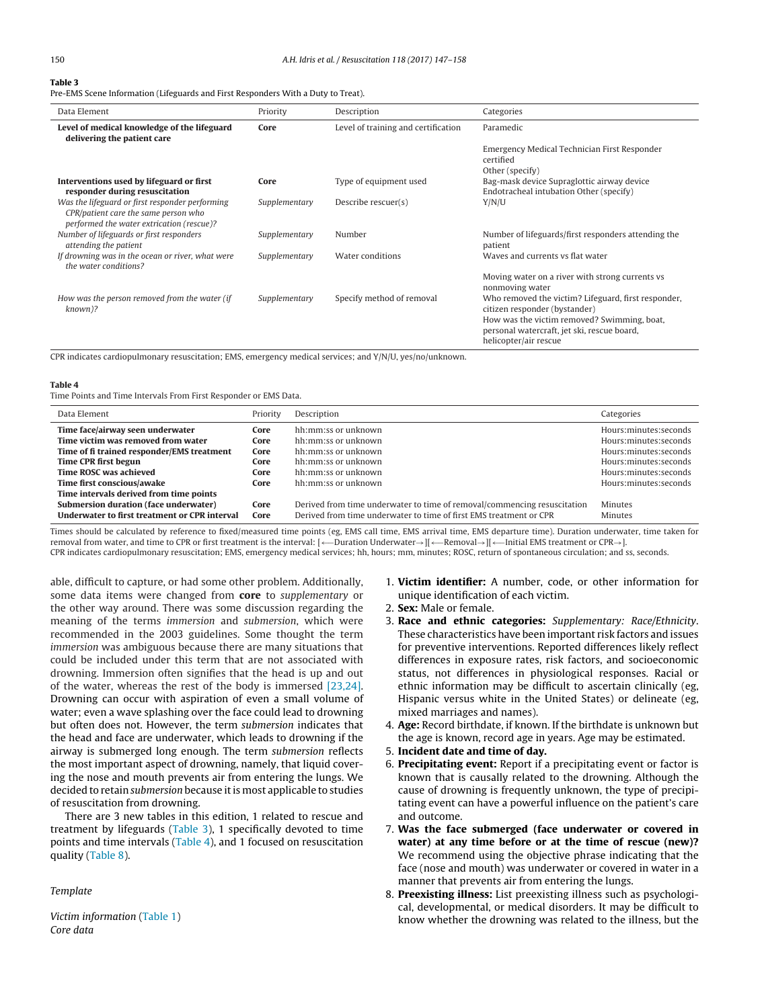<span id="page-3-0"></span>Pre-EMS Scene Information (Lifeguards and First Responders With a Duty to Treat).

| Data Element                                                                                                                         | Priority      | Description                         | Categories                                                                                                                                                                                                  |
|--------------------------------------------------------------------------------------------------------------------------------------|---------------|-------------------------------------|-------------------------------------------------------------------------------------------------------------------------------------------------------------------------------------------------------------|
| Level of medical knowledge of the lifeguard<br>delivering the patient care                                                           | Core          | Level of training and certification | Paramedic                                                                                                                                                                                                   |
|                                                                                                                                      |               |                                     | Emergency Medical Technician First Responder<br>certified<br>Other (specify)                                                                                                                                |
| Interventions used by lifeguard or first<br>responder during resuscitation                                                           | Core          | Type of equipment used              | Bag-mask device Supraglottic airway device<br>Endotracheal intubation Other (specify)                                                                                                                       |
| Was the lifeguard or first responder performing<br>CPR/patient care the same person who<br>performed the water extrication (rescue)? | Supplementary | Describe rescuer(s)                 | Y/N/U                                                                                                                                                                                                       |
| Number of lifeguards or first responders<br>attending the patient                                                                    | Supplementary | Number                              | Number of lifeguards/first responders attending the<br>patient                                                                                                                                              |
| If drowning was in the ocean or river, what were<br>the water conditions?                                                            | Supplementary | Water conditions                    | Waves and currents vs flat water                                                                                                                                                                            |
|                                                                                                                                      |               |                                     | Moving water on a river with strong currents vs<br>nonmoving water                                                                                                                                          |
| How was the person removed from the water (if<br>known)?                                                                             | Supplementary | Specify method of removal           | Who removed the victim? Lifeguard, first responder,<br>citizen responder (bystander)<br>How was the victim removed? Swimming, boat,<br>personal watercraft, jet ski, rescue board,<br>helicopter/air rescue |

CPR indicates cardiopulmonary resuscitation; EMS, emergency medical services; and Y/N/U, yes/no/unknown.

#### **Table 4**

Time Points and Time Intervals From First Responder or EMS Data.

| Data Element                                  | Priority | Description                                                              | Categories            |
|-----------------------------------------------|----------|--------------------------------------------------------------------------|-----------------------|
| Time face/airway seen underwater              | Core     | hh:mm:ss or unknown                                                      | Hours:minutes:seconds |
| Time victim was removed from water            | Core     | hh:mm:ss or unknown                                                      | Hours:minutes:seconds |
| Time of fi trained responder/EMS treatment    | Core     | hh:mm:ss or unknown                                                      | Hours:minutes:seconds |
| Time CPR first begun                          | Core     | hh:mm:ss or unknown                                                      | Hours:minutes:seconds |
| <b>Time ROSC was achieved</b>                 | Core     | hh:mm:ss or unknown                                                      | Hours:minutes:seconds |
| Time first conscious/awake                    | Core     | hh:mm:ss or unknown                                                      | Hours:minutes:seconds |
| Time intervals derived from time points       |          |                                                                          |                       |
| Submersion duration (face underwater)         | Core     | Derived from time underwater to time of removal/commencing resuscitation | Minutes               |
| Underwater to first treatment or CPR interval | Core     | Derived from time underwater to time of first EMS treatment or CPR       | Minutes               |

Times should be calculated by reference to fixed/measured time points (eg, EMS call time, EMS arrival time, EMS departure time). Duration underwater, time taken for removal from water, and time to CPR or first treatment is the interval: [←−Duration Underwater→][←−Removal→][←−Initial EMS treatment or CPR→]. CPR indicates cardiopulmonary resuscitation; EMS, emergency medical services; hh, hours; mm, minutes; ROSC, return of spontaneous circulation; and ss, seconds.

able, difficult to capture, or had some other problem. Additionally, some data items were changed from **core** to supplementary or the other way around. There was some discussion regarding the meaning of the terms immersion and submersion, which were recommended in the 2003 guidelines. Some thought the term immersion was ambiguous because there are many situations that could be included under this term that are not associated with drowning. Immersion often signifies that the head is up and out of the water, whereas the rest of the body is immersed [\[23,24\].](#page-10-0) Drowning can occur with aspiration of even a small volume of water; even a wave splashing over the face could lead to drowning but often does not. However, the term submersion indicates that the head and face are underwater, which leads to drowning if the airway is submerged long enough. The term submersion reflects the most important aspect of drowning, namely, that liquid covering the nose and mouth prevents air from entering the lungs. We decided to retain submersion because it is most applicable to studies of resuscitation from drowning.

There are 3 new tables in this edition, 1 related to rescue and treatment by lifeguards (Table 3), 1 specifically devoted to time points and time intervals (Table 4), and 1 focused on resuscitation quality ([Table](#page-6-0) 8).

# Template

Victim information [\(Table](#page-2-0) 1) Core data

- 1. **Victim identifier:** A number, code, or other information for unique identification of each victim.
- 2. **Sex:** Male or female.
- 3. **Race and ethnic categories:** Supplementary: Race/Ethnicity. These characteristics have been important risk factors and issues for preventive interventions. Reported differences likely reflect differences in exposure rates, risk factors, and socioeconomic status, not differences in physiological responses. Racial or ethnic information may be difficult to ascertain clinically (eg, Hispanic versus white in the United States) or delineate (eg, mixed marriages and names).
- 4. **Age:** Record birthdate, if known. If the birthdate is unknown but the age is known, record age in years. Age may be estimated.
- 5. **Incident date and time of day.**
- 6. **Precipitating event:** Report if a precipitating event or factor is known that is causally related to the drowning. Although the cause of drowning is frequently unknown, the type of precipitating event can have a powerful influence on the patient's care and outcome.
- 7. **Was the face submerged (face underwater or covered in water) at any time before or at the time of rescue (new)?** We recommend using the objective phrase indicating that the face (nose and mouth) was underwater or covered in water in a manner that prevents air from entering the lungs.
- 8. **Preexisting illness:** List preexisting illness such as psychological, developmental, or medical disorders. It may be difficult to know whether the drowning was related to the illness, but the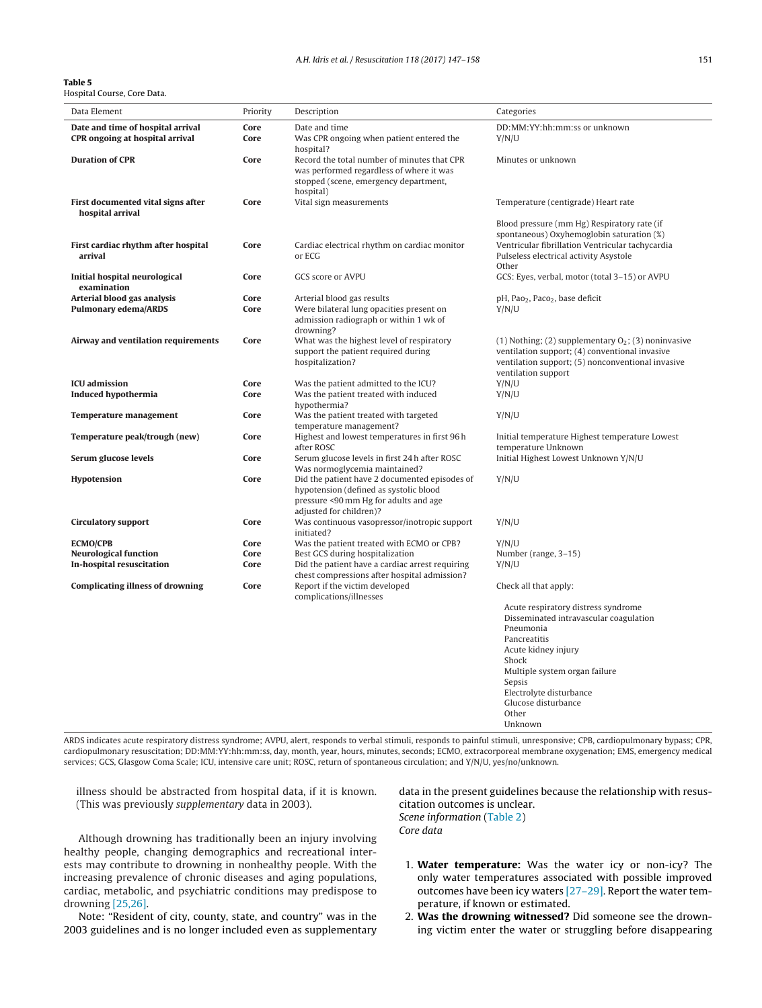<span id="page-4-0"></span>Hospital Course, Core Data.

| Data Element                                                         | Priority     | Description                                                                                                                                                 | Categories                                                                                                                                                                                      |
|----------------------------------------------------------------------|--------------|-------------------------------------------------------------------------------------------------------------------------------------------------------------|-------------------------------------------------------------------------------------------------------------------------------------------------------------------------------------------------|
| Date and time of hospital arrival<br>CPR ongoing at hospital arrival | Core<br>Core | Date and time<br>Was CPR ongoing when patient entered the<br>hospital?                                                                                      | DD:MM:YY:hh:mm:ss or unknown<br>Y/N/U                                                                                                                                                           |
| <b>Duration of CPR</b>                                               | Core         | Record the total number of minutes that CPR<br>was performed regardless of where it was<br>stopped (scene, emergency department,<br>hospital)               | Minutes or unknown                                                                                                                                                                              |
| First documented vital signs after<br>hospital arrival               | Core         | Vital sign measurements                                                                                                                                     | Temperature (centigrade) Heart rate                                                                                                                                                             |
| First cardiac rhythm after hospital<br>arrival                       | Core         | Cardiac electrical rhythm on cardiac monitor<br>or ECG                                                                                                      | Blood pressure (mm Hg) Respiratory rate (if<br>spontaneous) Oxyhemoglobin saturation (%)<br>Ventricular fibrillation Ventricular tachycardia<br>Pulseless electrical activity Asystole<br>Other |
| Initial hospital neurological<br>examination                         | Core         | <b>GCS score or AVPU</b>                                                                                                                                    | GCS: Eyes, verbal, motor (total 3-15) or AVPU                                                                                                                                                   |
| Arterial blood gas analysis<br><b>Pulmonary edema/ARDS</b>           | Core<br>Core | Arterial blood gas results<br>Were bilateral lung opacities present on<br>admission radiograph or within 1 wk of<br>drowning?                               | pH, Pao <sub>2</sub> , Paco <sub>2</sub> , base deficit<br>Y/N/U                                                                                                                                |
| Airway and ventilation requirements                                  | Core         | What was the highest level of respiratory<br>support the patient required during<br>hospitalization?                                                        | (1) Nothing; (2) supplementary $O_2$ ; (3) noninvasive<br>ventilation support; (4) conventional invasive<br>ventilation support; (5) nonconventional invasive<br>ventilation support            |
| <b>ICU</b> admission                                                 | Core         | Was the patient admitted to the ICU?                                                                                                                        | Y/N/U                                                                                                                                                                                           |
| <b>Induced hypothermia</b>                                           | Core         | Was the patient treated with induced<br>hypothermia?                                                                                                        | Y/N/U                                                                                                                                                                                           |
| <b>Temperature management</b>                                        | Core         | Was the patient treated with targeted<br>temperature management?                                                                                            | Y/N/U                                                                                                                                                                                           |
| Temperature peak/trough (new)                                        | Core         | Highest and lowest temperatures in first 96 h<br>after ROSC                                                                                                 | Initial temperature Highest temperature Lowest<br>temperature Unknown                                                                                                                           |
| Serum glucose levels                                                 | Core         | Serum glucose levels in first 24 h after ROSC<br>Was normoglycemia maintained?                                                                              | Initial Highest Lowest Unknown Y/N/U                                                                                                                                                            |
| <b>Hypotension</b>                                                   | Core         | Did the patient have 2 documented episodes of<br>hypotension (defined as systolic blood<br>pressure <90 mm Hg for adults and age<br>adjusted for children)? | Y/N/U                                                                                                                                                                                           |
| <b>Circulatory support</b>                                           | Core         | Was continuous vasopressor/inotropic support<br>initiated?                                                                                                  | Y/N/U                                                                                                                                                                                           |
| <b>ECMO/CPB</b>                                                      | Core         | Was the patient treated with ECMO or CPB?                                                                                                                   | Y/N/U                                                                                                                                                                                           |
| <b>Neurological function</b>                                         | Core         | Best GCS during hospitalization                                                                                                                             | Number (range, 3-15)                                                                                                                                                                            |
| In-hospital resuscitation                                            | Core         | Did the patient have a cardiac arrest requiring<br>chest compressions after hospital admission?                                                             | Y/N/U                                                                                                                                                                                           |
| <b>Complicating illness of drowning</b>                              | Core         | Report if the victim developed<br>complications/illnesses                                                                                                   | Check all that apply:<br>Acute respiratory distress syndrome                                                                                                                                    |
|                                                                      |              |                                                                                                                                                             | Disseminated intravascular coagulation<br>Pneumonia<br>Pancreatitis<br>Acute kidney injury<br>Shock                                                                                             |

Unknown ARDS indicates acute respiratory distress syndrome; AVPU, alert, responds to verbal stimuli, responds to painful stimuli, unresponsive; CPB, cardiopulmonary bypass; CPR, cardiopulmonary resuscitation; DD:MM:YY:hh:mm:ss, day, month, year, hours, minutes, seconds; ECMO, extracorporeal membrane oxygenation; EMS, emergency medical services; GCS, Glasgow Coma Scale; ICU, intensive care unit; ROSC, return of spontaneous circulation; and Y/N/U, yes/no/unknown.

illness should be abstracted from hospital data, if it is known. (This was previously supplementary data in 2003).

Although drowning has traditionally been an injury involving healthy people, changing demographics and recreational interests may contribute to drowning in nonhealthy people. With the increasing prevalence of chronic diseases and aging populations, cardiac, metabolic, and psychiatric conditions may predispose to drowning [\[25,26\].](#page-10-0)

Note: "Resident of city, county, state, and country" was in the 2003 guidelines and is no longer included even as supplementary data in the present guidelines because the relationship with resuscitation outcomes is unclear. Scene information [\(Table](#page-2-0) 2) Core data

Multiple system organ failure

Electrolyte disturbance Glucose disturbance

Sepsis

Other

- 1. **Water temperature:** Was the water icy or non-icy? The only water temperatures associated with possible improved outcomes have been icy waters [\[27–29\].](#page-10-0) Report the water temperature, if known or estimated.
- 2. **Was the drowning witnessed?** Did someone see the drowning victim enter the water or struggling before disappearing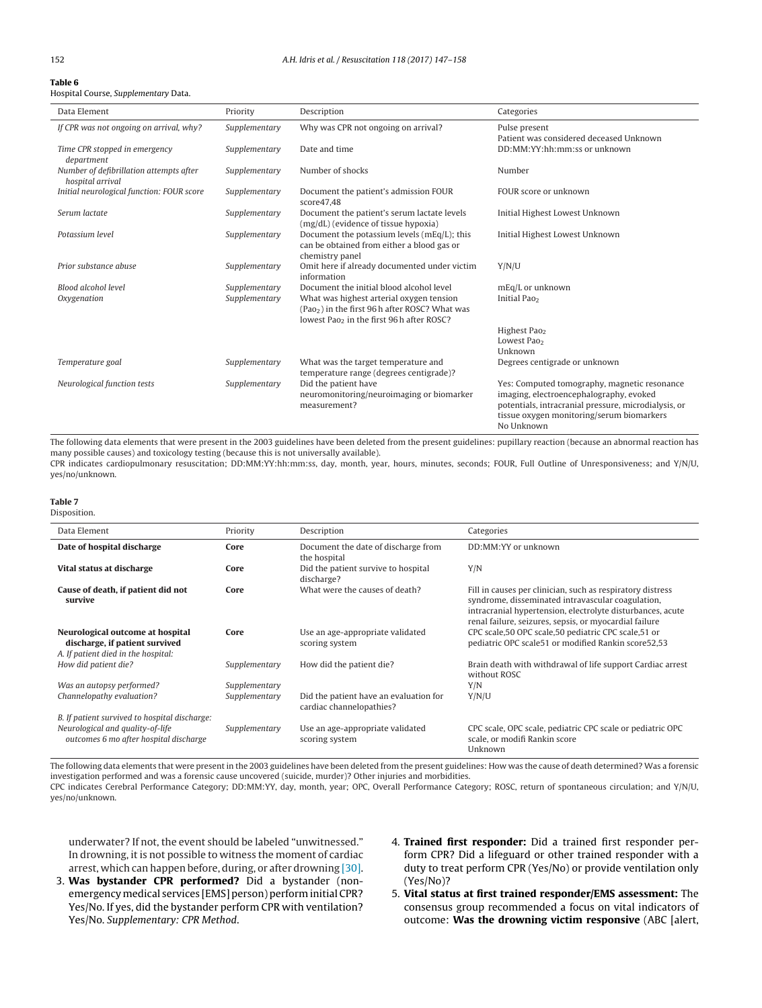<span id="page-5-0"></span>Hospital Course, Supplementary Data.

| Data Element                                                | Priority      | Description                                                                                                                                                     | Categories                                                                                                                                                                                                 |  |
|-------------------------------------------------------------|---------------|-----------------------------------------------------------------------------------------------------------------------------------------------------------------|------------------------------------------------------------------------------------------------------------------------------------------------------------------------------------------------------------|--|
| If CPR was not ongoing on arrival, why?                     | Supplementary | Why was CPR not ongoing on arrival?                                                                                                                             | Pulse present<br>Patient was considered deceased Unknown                                                                                                                                                   |  |
| Time CPR stopped in emergency<br>department                 | Supplementary | Date and time                                                                                                                                                   | DD:MM:YY:hh:mm:ss or unknown                                                                                                                                                                               |  |
| Number of defibrillation attempts after<br>hospital arrival | Supplementary | Number of shocks                                                                                                                                                | Number                                                                                                                                                                                                     |  |
| Initial neurological function: FOUR score                   | Supplementary | Document the patient's admission FOUR<br>score47.48                                                                                                             | FOUR score or unknown                                                                                                                                                                                      |  |
| Serum lactate                                               | Supplementary | Document the patient's serum lactate levels<br>(mg/dL) (evidence of tissue hypoxia)                                                                             | Initial Highest Lowest Unknown                                                                                                                                                                             |  |
| Potassium level                                             | Supplementary | Document the potassium levels (mEq/L); this<br>can be obtained from either a blood gas or<br>chemistry panel                                                    | Initial Highest Lowest Unknown                                                                                                                                                                             |  |
| Prior substance abuse                                       | Supplementary | Omit here if already documented under victim<br>information                                                                                                     | Y/N/U                                                                                                                                                                                                      |  |
| Blood alcohol level                                         | Supplementary | Document the initial blood alcohol level                                                                                                                        | mEq/L or unknown                                                                                                                                                                                           |  |
| Oxygenation                                                 | Supplementary | What was highest arterial oxygen tension<br>(Pao <sub>2</sub> ) in the first 96 h after ROSC? What was<br>lowest Pao <sub>2</sub> in the first 96 h after ROSC? | Initial Pao <sub>2</sub>                                                                                                                                                                                   |  |
|                                                             |               |                                                                                                                                                                 | Highest Pao <sub>2</sub>                                                                                                                                                                                   |  |
|                                                             |               |                                                                                                                                                                 | Lowest Pao <sub>2</sub>                                                                                                                                                                                    |  |
|                                                             |               |                                                                                                                                                                 | Unknown                                                                                                                                                                                                    |  |
| Temperature goal                                            | Supplementary | What was the target temperature and<br>temperature range (degrees centigrade)?                                                                                  | Degrees centigrade or unknown                                                                                                                                                                              |  |
| Neurological function tests                                 | Supplementary | Did the patient have<br>neuromonitoring/neuroimaging or biomarker<br>measurement?                                                                               | Yes: Computed tomography, magnetic resonance<br>imaging, electroencephalography, evoked<br>potentials, intracranial pressure, microdialysis, or<br>tissue oxygen monitoring/serum biomarkers<br>No Unknown |  |

The following data elements that were present in the 2003 guidelines have been deleted from the present guidelines: pupillary reaction (because an abnormal reaction has many possible causes) and toxicology testing (because this is not universally available). CPR indicates cardiopulmonary resuscitation; DD:MM:YY:hh:mm:ss, day, month, year, hours, minutes, seconds; FOUR, Full Outline of Unresponsiveness; and Y/N/U,

yes/no/unknown.

## **Table 7**

Disposition.

| Data Element                                                                                                                | Priority      | Description                                                        | Categories                                                                                                                                                                                                                              |
|-----------------------------------------------------------------------------------------------------------------------------|---------------|--------------------------------------------------------------------|-----------------------------------------------------------------------------------------------------------------------------------------------------------------------------------------------------------------------------------------|
| Date of hospital discharge                                                                                                  | Core          | Document the date of discharge from<br>the hospital                | DD:MM:YY or unknown                                                                                                                                                                                                                     |
| Vital status at discharge                                                                                                   | Core          | Did the patient survive to hospital<br>discharge?                  | Y/N                                                                                                                                                                                                                                     |
| Cause of death, if patient did not<br>survive                                                                               | Core          | What were the causes of death?                                     | Fill in causes per clinician, such as respiratory distress<br>syndrome, disseminated intravascular coagulation,<br>intracranial hypertension, electrolyte disturbances, acute<br>renal failure, seizures, sepsis, or myocardial failure |
| Neurological outcome at hospital<br>discharge, if patient survived<br>A. If patient died in the hospital:                   | Core          | Use an age-appropriate validated<br>scoring system                 | CPC scale,50 OPC scale,50 pediatric CPC scale,51 or<br>pediatric OPC scale51 or modified Rankin score52,53                                                                                                                              |
| How did patient die?                                                                                                        | Supplementary | How did the patient die?                                           | Brain death with withdrawal of life support Cardiac arrest<br>without ROSC                                                                                                                                                              |
| Was an autopsy performed?                                                                                                   | Supplementary |                                                                    | Y/N                                                                                                                                                                                                                                     |
| Channelopathy evaluation?                                                                                                   | Supplementary | Did the patient have an evaluation for<br>cardiac channelopathies? | Y/N/U                                                                                                                                                                                                                                   |
| B. If patient survived to hospital discharge:<br>Neurological and quality-of-life<br>outcomes 6 mo after hospital discharge | Supplementary | Use an age-appropriate validated<br>scoring system                 | CPC scale, OPC scale, pediatric CPC scale or pediatric OPC<br>scale, or modifi Rankin score<br>Unknown                                                                                                                                  |

The following data elements that were present in the 2003 guidelines have been deleted from the present guidelines: How was the cause of death determined? Was a forensic investigation performed and was a forensic cause uncovered (suicide, murder)? Other injuries and morbidities.

CPC indicates Cerebral Performance Category; DD:MM:YY, day, month, year; OPC, Overall Performance Category; ROSC, return of spontaneous circulation; and Y/N/U, yes/no/unknown.

underwater? If not, the event should be labeled "unwitnessed." In drowning, it is not possible to witness the moment of cardiac arrest, which can happen before, during, or after drowning [\[30\].](#page-10-0)

- 3. **Was bystander CPR performed?** Did a bystander (nonemergency medical services [EMS] person) perform initial CPR? Yes/No. If yes, did the bystander perform CPR with ventilation? Yes/No. Supplementary: CPR Method.
- 4. **Trained first responder:** Did a trained first responder perform CPR? Did a lifeguard or other trained responder with a duty to treat perform CPR (Yes/No) or provide ventilation only (Yes/No)?
- 5. **Vital status at first trained responder/EMS assessment:** The consensus group recommended a focus on vital indicators of outcome: **Was the drowning victim responsive** (ABC [alert,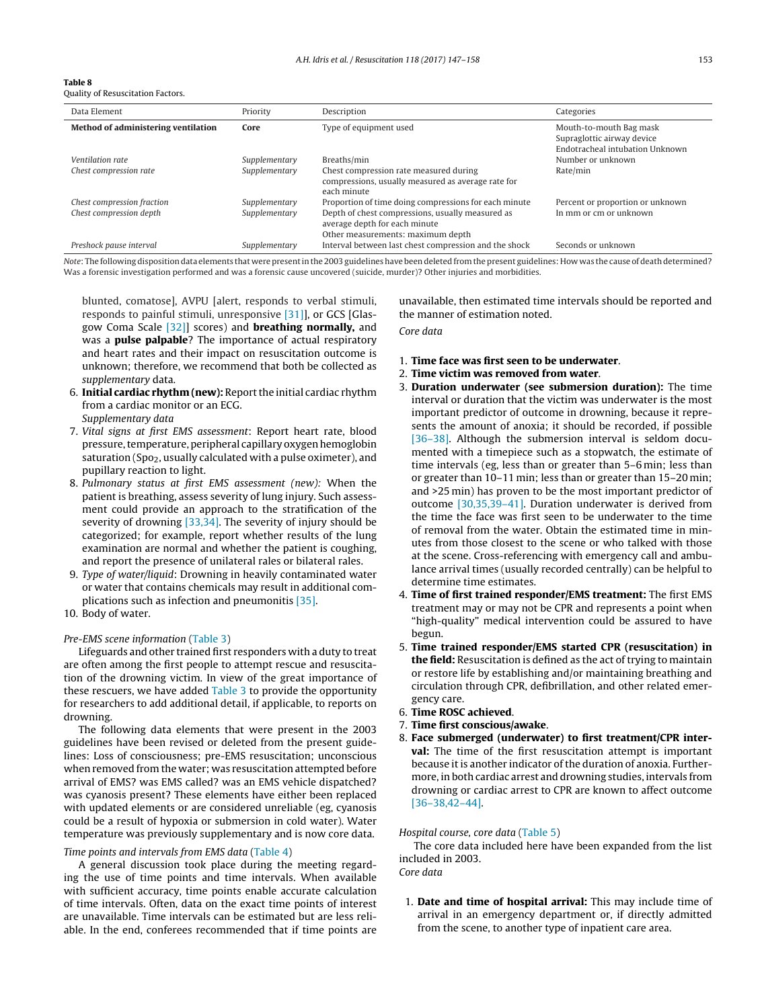<span id="page-6-0"></span>Quality of Resuscitation Factors.

| Data Element                        | Priority      | Description                                                                                                            | Categories                                                                               |
|-------------------------------------|---------------|------------------------------------------------------------------------------------------------------------------------|------------------------------------------------------------------------------------------|
| Method of administering ventilation | Core          | Type of equipment used                                                                                                 | Mouth-to-mouth Bag mask<br>Supraglottic airway device<br>Endotracheal intubation Unknown |
| Ventilation rate                    | Supplementary | Breaths/min                                                                                                            | Number or unknown                                                                        |
| Chest compression rate              | Supplementary | Chest compression rate measured during<br>compressions, usually measured as average rate for<br>each minute            | Rate/min                                                                                 |
| Chest compression fraction          | Supplementary | Proportion of time doing compressions for each minute                                                                  | Percent or proportion or unknown                                                         |
| Chest compression depth             | Supplementary | Depth of chest compressions, usually measured as<br>average depth for each minute<br>Other measurements: maximum depth | In mm or cm or unknown                                                                   |
| Preshock pause interval             | Supplementary | Interval between last chest compression and the shock                                                                  | Seconds or unknown                                                                       |

Note: The following disposition data elements that were present in the 2003 guidelines have been deleted from the present guidelines: How was the cause of death determined? Was a forensic investigation performed and was a forensic cause uncovered (suicide, murder)? Other injuries and morbidities.

blunted, comatose], AVPU [alert, responds to verbal stimuli, responds to painful stimuli, unresponsive [\[31\]\],](#page-10-0) or GCS [Glasgow Coma Scale [\[32\]\]](#page-10-0) scores) and **breathing normally,** and was a **pulse palpable**? The importance of actual respiratory and heart rates and their impact on resuscitation outcome is unknown; therefore, we recommend that both be collected as supplementary data.

- 6. **Initial cardiac rhythm(new):** Reportthe initial cardiac rhythm from a cardiac monitor or an ECG. Supplementary data
- 7. Vital signs at first EMS assessment: Report heart rate, blood pressure, temperature, peripheral capillary oxygen hemoglobin saturation (Spo<sub>2</sub>, usually calculated with a pulse oximeter), and pupillary reaction to light.
- 8. Pulmonary status at first EMS assessment (new): When the patient is breathing, assess severity of lung injury. Such assessment could provide an approach to the stratification of the severity of drowning [\[33,34\].](#page-10-0) The severity of injury should be categorized; for example, report whether results of the lung examination are normal and whether the patient is coughing, and report the presence of unilateral rales or bilateral rales.
- 9. Type of water/liquid: Drowning in heavily contaminated water or water that contains chemicals may result in additional complications such as infection and pneumonitis [\[35\].](#page-10-0)
- 10. Body of water.

# Pre-EMS scene information [\(Table](#page-3-0) 3)

Lifeguards and other trained first responders with a duty to treat are often among the first people to attempt rescue and resuscitation of the drowning victim. In view of the great importance of these rescuers, we have added [Table](#page-3-0) 3 to provide the opportunity for researchers to add additional detail, if applicable, to reports on drowning.

The following data elements that were present in the 2003 guidelines have been revised or deleted from the present guidelines: Loss of consciousness; pre-EMS resuscitation; unconscious when removed from the water; was resuscitation attempted before arrival of EMS? was EMS called? was an EMS vehicle dispatched? was cyanosis present? These elements have either been replaced with updated elements or are considered unreliable (eg, cyanosis could be a result of hypoxia or submersion in cold water). Water temperature was previously supplementary and is now core data.

# Time points and intervals from EMS data ([Table](#page-3-0) 4)

A general discussion took place during the meeting regarding the use of time points and time intervals. When available with sufficient accuracy, time points enable accurate calculation of time intervals. Often, data on the exact time points of interest are unavailable. Time intervals can be estimated but are less reliable. In the end, conferees recommended that if time points are unavailable, then estimated time intervals should be reported and the manner of estimation noted.

Core data

- 1. **Time face was first seen to be underwater**.
- 2. **Time victim was removed from water**.
- 3. **Duration underwater (see submersion duration):** The time interval or duration that the victim was underwater is the most important predictor of outcome in drowning, because it represents the amount of anoxia; it should be recorded, if possible [\[36–38\].](#page-10-0) Although the submersion interval is seldom documented with a timepiece such as a stopwatch, the estimate of time intervals (eg, less than or greater than 5–6 min; less than or greater than 10–11 min; less than or greater than 15–20 min; and >25 min) has proven to be the most important predictor of outcome [\[30,35,39–41\].](#page-10-0) Duration underwater is derived from the time the face was first seen to be underwater to the time of removal from the water. Obtain the estimated time in minutes from those closest to the scene or who talked with those at the scene. Cross-referencing with emergency call and ambulance arrival times (usually recorded centrally) can be helpful to determine time estimates.
- 4. **Time of first trained responder/EMS treatment:** The first EMS treatment may or may not be CPR and represents a point when "high-quality" medical intervention could be assured to have begun.
- 5. **Time trained responder/EMS started CPR (resuscitation) in the field:** Resuscitation is defined as the act of trying to maintain or restore life by establishing and/or maintaining breathing and circulation through CPR, defibrillation, and other related emergency care.
- 6. **Time ROSC achieved**.
- 7. **Time first conscious/awake**.
- 8. **Face submerged (underwater) to first treatment/CPR interval:** The time of the first resuscitation attempt is important because it is another indicator of the duration of anoxia. Furthermore, in both cardiac arrest and drowning studies, intervals from drowning or cardiac arrest to CPR are known to affect outcome [\[36–38,42–44\].](#page-10-0)

#### Hospital course, core data [\(Table](#page-4-0) 5)

The core data included here have been expanded from the list included in 2003. Core data

1. **Date and time of hospital arrival:** This may include time of arrival in an emergency department or, if directly admitted from the scene, to another type of inpatient care area.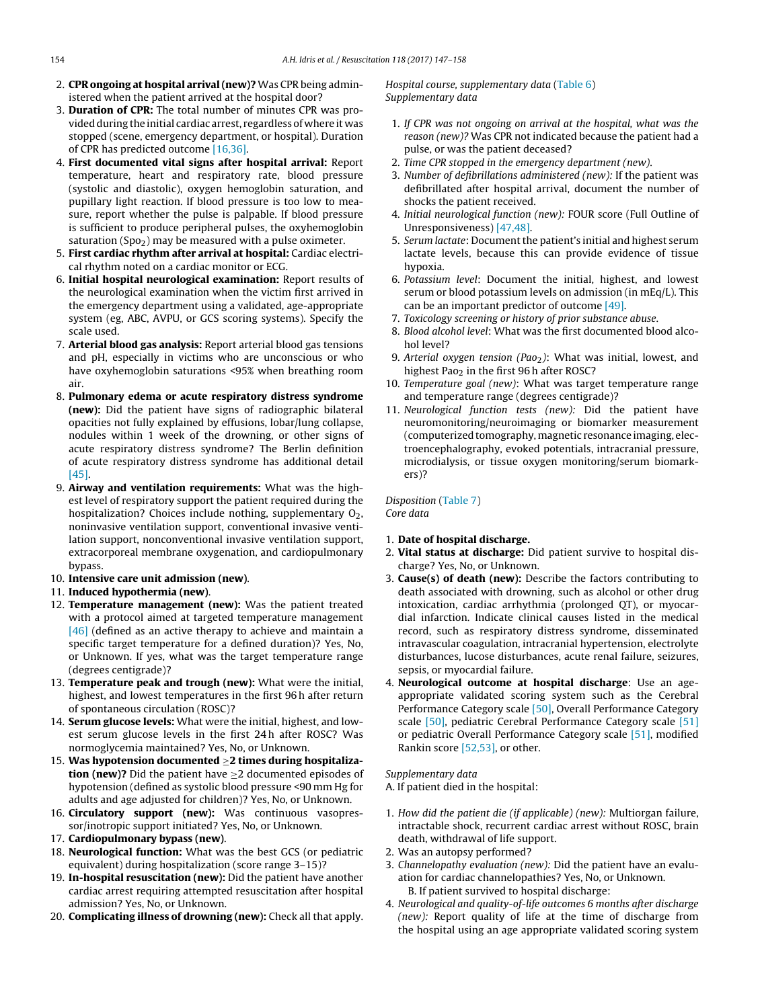- 2. **CPR ongoing at hospital arrival(new)?** Was CPR being administered when the patient arrived at the hospital door?
- 3. **Duration of CPR:** The total number of minutes CPR was provided during the initial cardiac arrest, regardless of where it was stopped (scene, emergency department, or hospital). Duration of CPR has predicted outcome [\[16,36\].](#page-10-0)
- 4. **First documented vital signs after hospital arrival:** Report temperature, heart and respiratory rate, blood pressure (systolic and diastolic), oxygen hemoglobin saturation, and pupillary light reaction. If blood pressure is too low to measure, report whether the pulse is palpable. If blood pressure is sufficient to produce peripheral pulses, the oxyhemoglobin saturation (Spo<sub>2</sub>) may be measured with a pulse oximeter.
- 5. **First cardiac rhythm after arrival at hospital:** Cardiac electrical rhythm noted on a cardiac monitor or ECG.
- 6. **Initial hospital neurological examination:** Report results of the neurological examination when the victim first arrived in the emergency department using a validated, age-appropriate system (eg, ABC, AVPU, or GCS scoring systems). Specify the scale used.
- 7. **Arterial blood gas analysis:** Report arterial blood gas tensions and pH, especially in victims who are unconscious or who have oxyhemoglobin saturations <95% when breathing room air.
- 8. **Pulmonary edema or acute respiratory distress syndrome (new):** Did the patient have signs of radiographic bilateral opacities not fully explained by effusions, lobar/lung collapse, nodules within 1 week of the drowning, or other signs of acute respiratory distress syndrome? The Berlin definition of acute respiratory distress syndrome has additional detail [\[45\].](#page-11-0)
- 9. **Airway and ventilation requirements:** What was the highest level of respiratory support the patient required during the hospitalization? Choices include nothing, supplementary  $O_2$ , noninvasive ventilation support, conventional invasive ventilation support, nonconventional invasive ventilation support, extracorporeal membrane oxygenation, and cardiopulmonary bypass.
- 10. **Intensive care unit admission (new)**.
- 11. **Induced hypothermia (new)**.
- 12. **Temperature management (new):** Was the patient treated with a protocol aimed at targeted temperature management  $[46]$  (defined as an active therapy to achieve and maintain a specific target temperature for a defined duration)? Yes, No, or Unknown. If yes, what was the target temperature range (degrees centigrade)?
- 13. **Temperature peak and trough (new):** What were the initial, highest, and lowest temperatures in the first 96 h after return of spontaneous circulation (ROSC)?
- 14. **Serum glucose levels:** What were the initial, highest, and lowest serum glucose levels in the first 24 h after ROSC? Was normoglycemia maintained? Yes, No, or Unknown.
- 15. **Was hypotension documented** ≥**2 times during hospitalization (new)?** Did the patient have  $\geq$  2 documented episodes of hypotension (defined as systolic blood pressure <90 mm Hg for adults and age adjusted for children)? Yes, No, or Unknown.
- 16. **Circulatory support (new):** Was continuous vasopressor/inotropic support initiated? Yes, No, or Unknown.
- 17. **Cardiopulmonary bypass (new)**.
- 18. **Neurological function:** What was the best GCS (or pediatric equivalent) during hospitalization (score range 3–15)?
- 19. **In-hospital resuscitation (new):** Did the patient have another cardiac arrest requiring attempted resuscitation after hospital admission? Yes, No, or Unknown.
- 20. **Complicating illness of drowning (new):** Check all that apply.

#### Hospital course, supplementary data [\(Table](#page-5-0) 6) Supplementary data

- 1. If CPR was not ongoing on arrival at the hospital, what was the reason (new)? Was CPR not indicated because the patient had a pulse, or was the patient deceased?
- 2. Time CPR stopped in the emergency department (new).
- 3. Number of defibrillations administered (new): If the patient was defibrillated after hospital arrival, document the number of shocks the patient received.
- 4. Initial neurological function (new): FOUR score (Full Outline of Unresponsiveness) [\[47,48\].](#page-11-0)
- 5. Serum lactate: Document the patient's initial and highest serum lactate levels, because this can provide evidence of tissue hypoxia.
- 6. Potassium level: Document the initial, highest, and lowest serum or blood potassium levels on admission (in mEq/L). This can be an important predictor of outcome [\[49\].](#page-11-0)
- 7. Toxicology screening or history of prior substance abuse.
- 8. Blood alcohol level: What was the first documented blood alcohol level?
- 9. Arterial oxygen tension (Pao<sub>2</sub>): What was initial, lowest, and highest Pao<sub>2</sub> in the first 96 h after ROSC?
- 10. Temperature goal (new): What was target temperature range and temperature range (degrees centigrade)?
- 11. Neurological function tests (new): Did the patient have neuromonitoring/neuroimaging or biomarker measurement (computerized tomography, magnetic resonance imaging, electroencephalography, evoked potentials, intracranial pressure, microdialysis, or tissue oxygen monitoring/serum biomarkers)?

#### Disposition [\(Table](#page-5-0) 7) Core data

# 1. **Date of hospital discharge.**

- 2. **Vital status at discharge:** Did patient survive to hospital discharge? Yes, No, or Unknown.
- 3. **Cause(s) of death (new):** Describe the factors contributing to death associated with drowning, such as alcohol or other drug intoxication, cardiac arrhythmia (prolonged QT), or myocardial infarction. Indicate clinical causes listed in the medical record, such as respiratory distress syndrome, disseminated intravascular coagulation, intracranial hypertension, electrolyte disturbances, lucose disturbances, acute renal failure, seizures, sepsis, or myocardial failure.
- 4. **Neurological outcome at hospital discharge**: Use an ageappropriate validated scoring system such as the Cerebral Performance Category scale [\[50\],](#page-11-0) Overall Performance Category scale [\[50\],](#page-11-0) pediatric Cerebral Performance Category scale [\[51\]](#page-11-0) or pediatric Overall Performance Category scale [\[51\],](#page-11-0) modified Rankin score [\[52,53\],](#page-11-0) or other.

# Supplementary data

A. If patient died in the hospital:

- 1. How did the patient die (if applicable) (new): Multiorgan failure, intractable shock, recurrent cardiac arrest without ROSC, brain death, withdrawal of life support.
- 2. Was an autopsy performed?
- 3. Channelopathy evaluation (new): Did the patient have an evaluation for cardiac channelopathies? Yes, No, or Unknown. B. If patient survived to hospital discharge:
- 4. Neurological and quality-of-life outcomes 6 months after discharge (new): Report quality of life at the time of discharge from the hospital using an age appropriate validated scoring system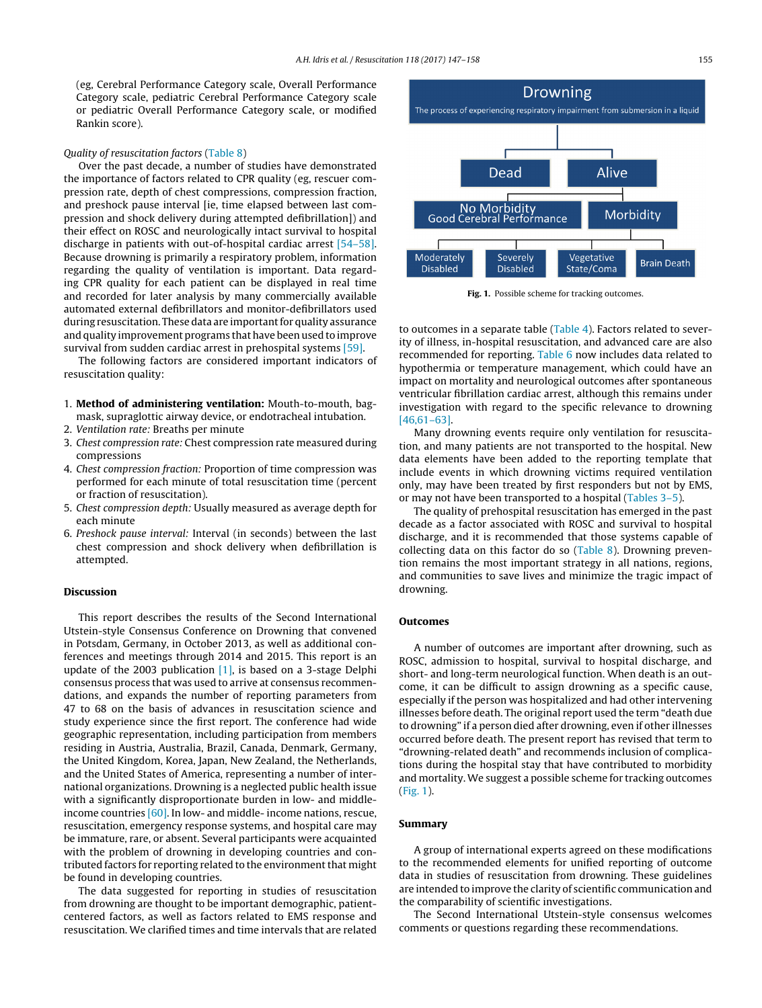(eg, Cerebral Performance Category scale, Overall Performance Category scale, pediatric Cerebral Performance Category scale or pediatric Overall Performance Category scale, or modified Rankin score).

#### Quality of resuscitation factors [\(Table](#page-6-0) 8)

Over the past decade, a number of studies have demonstrated the importance of factors related to CPR quality (eg, rescuer compression rate, depth of chest compressions, compression fraction, and preshock pause interval [ie, time elapsed between last compression and shock delivery during attempted defibrillation]) and their effect on ROSC and neurologically intact survival to hospital discharge in patients with out-of-hospital cardiac arrest [\[54–58\].](#page-11-0) Because drowning is primarily a respiratory problem, information regarding the quality of ventilation is important. Data regarding CPR quality for each patient can be displayed in real time and recorded for later analysis by many commercially available automated external defibrillators and monitor-defibrillators used during resuscitation. These data are importantfor quality assurance and quality improvement programs that have been used to improve survival from sudden cardiac arrest in prehospital systems [\[59\].](#page-11-0)

The following factors are considered important indicators of resuscitation quality:

- 1. **Method of administering ventilation:** Mouth-to-mouth, bagmask, supraglottic airway device, or endotracheal intubation.
- 2. Ventilation rate: Breaths per minute
- 3. Chest compression rate: Chest compression rate measured during compressions
- 4. Chest compression fraction: Proportion of time compression was performed for each minute of total resuscitation time (percent or fraction of resuscitation).
- 5. Chest compression depth: Usually measured as average depth for each minute
- 6. Preshock pause interval: Interval (in seconds) between the last chest compression and shock delivery when defibrillation is attempted.

#### **Discussion**

This report describes the results of the Second International Utstein-style Consensus Conference on Drowning that convened in Potsdam, Germany, in October 2013, as well as additional conferences and meetings through 2014 and 2015. This report is an update of the 2003 publication [\[1\],](#page-10-0) is based on a 3-stage Delphi consensus process that was used to arrive at consensus recommendations, and expands the number of reporting parameters from 47 to 68 on the basis of advances in resuscitation science and study experience since the first report. The conference had wide geographic representation, including participation from members residing in Austria, Australia, Brazil, Canada, Denmark, Germany, the United Kingdom, Korea, Japan, New Zealand, the Netherlands, and the United States of America, representing a number of international organizations. Drowning is a neglected public health issue with a significantly disproportionate burden in low- and middleincome countries [\[60\].](#page-11-0) In low- and middle- income nations, rescue, resuscitation, emergency response systems, and hospital care may be immature, rare, or absent. Several participants were acquainted with the problem of drowning in developing countries and contributed factors for reporting related to the environment that might be found in developing countries.

The data suggested for reporting in studies of resuscitation from drowning are thought to be important demographic, patientcentered factors, as well as factors related to EMS response and resuscitation. We clarified times and time intervals that are related



**Fig. 1.** Possible scheme for tracking outcomes.

to outcomes in a separate table ([Table](#page-3-0) 4). Factors related to severity of illness, in-hospital resuscitation, and advanced care are also recommended for reporting. [Table](#page-5-0) 6 now includes data related to hypothermia or temperature management, which could have an impact on mortality and neurological outcomes after spontaneous ventricular fibrillation cardiac arrest, although this remains under investigation with regard to the specific relevance to drowning [\[46,61–63\].](#page-11-0)

Many drowning events require only ventilation for resuscitation, and many patients are not transported to the hospital. New data elements have been added to the reporting template that include events in which drowning victims required ventilation only, may have been treated by first responders but not by EMS, or may not have been transported to a hospital ([Tables](#page-3-0) 3–5).

The quality of prehospital resuscitation has emerged in the past decade as a factor associated with ROSC and survival to hospital discharge, and it is recommended that those systems capable of collecting data on this factor do so ([Table](#page-6-0) 8). Drowning prevention remains the most important strategy in all nations, regions, and communities to save lives and minimize the tragic impact of drowning.

# **Outcomes**

A number of outcomes are important after drowning, such as ROSC, admission to hospital, survival to hospital discharge, and short- and long-term neurological function. When death is an outcome, it can be difficult to assign drowning as a specific cause, especially if the person was hospitalized and had other intervening illnesses before death. The original report used the term "death due to drowning" if a person died after drowning, even if other illnesses occurred before death. The present report has revised that term to "drowning-related death" and recommends inclusion of complications during the hospital stay that have contributed to morbidity and mortality. We suggest a possible scheme for tracking outcomes (Fig. 1).

#### **Summary**

A group of international experts agreed on these modifications to the recommended elements for unified reporting of outcome data in studies of resuscitation from drowning. These guidelines are intended to improve the clarity of scientific communication and the comparability of scientific investigations.

The Second International Utstein-style consensus welcomes comments or questions regarding these recommendations.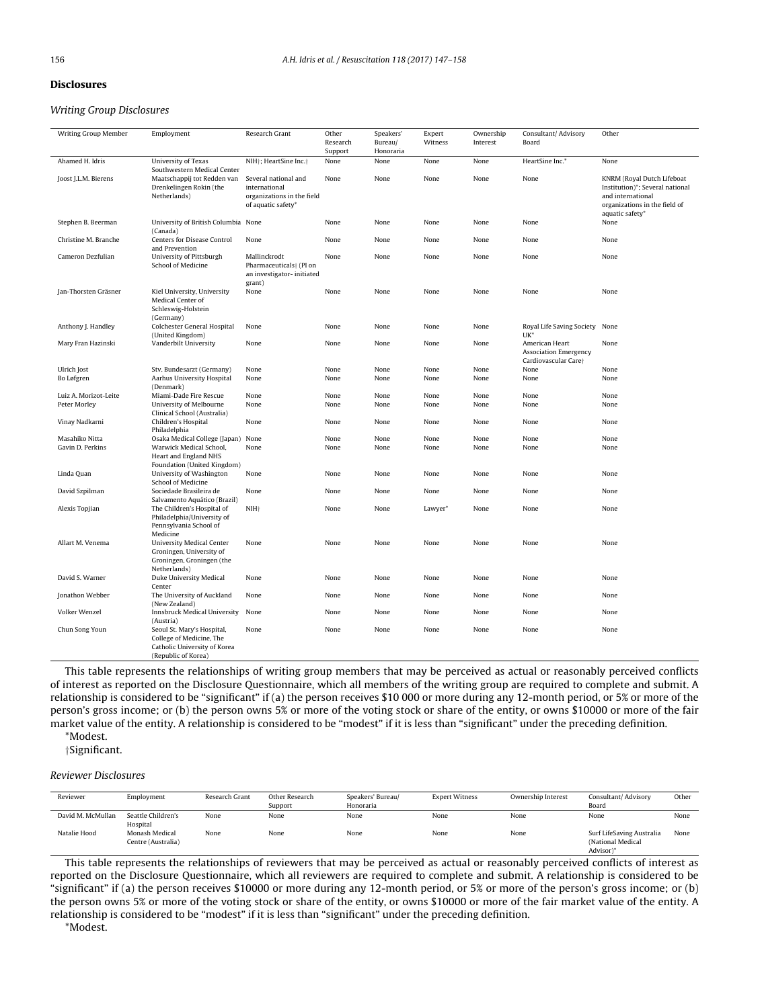# **Disclosures**

# Writing Group Disclosures

| <b>Writing Group Member</b> | Employment                                                                                                    | Research Grant                                                                              | Other<br>Research<br>Support | Speakers'<br>Bureau/<br>Honoraria | Expert<br>Witness | Ownership<br>Interest | Consultant/ Advisory<br>Board                                          | Other                                                                                                                                  |
|-----------------------------|---------------------------------------------------------------------------------------------------------------|---------------------------------------------------------------------------------------------|------------------------------|-----------------------------------|-------------------|-----------------------|------------------------------------------------------------------------|----------------------------------------------------------------------------------------------------------------------------------------|
| Ahamed H. Idris             | University of Texas                                                                                           | NIH <sub>†</sub> ; HeartSine Inc. <sup>+</sup>                                              | None                         | None                              | None              | None                  | HeartSine Inc.*                                                        | None                                                                                                                                   |
| Joost J.L.M. Bierens        | Southwestern Medical Center<br>Maatschappij tot Redden van<br>Drenkelingen Rokin (the<br>Netherlands)         | Several national and<br>international<br>organizations in the field<br>of aquatic safety*   | None                         | None                              | None              | None                  | None                                                                   | KNRM (Royal Dutch Lifeboat<br>Institution)*; Several national<br>and international<br>organizations in the field of<br>aquatic safety* |
| Stephen B. Beerman          | University of British Columbia None<br>(Canada)                                                               |                                                                                             | None                         | None                              | None              | None                  | None                                                                   | None                                                                                                                                   |
| Christine M. Branche        | Centers for Disease Control<br>and Prevention                                                                 | None                                                                                        | None                         | None                              | None              | None                  | None                                                                   | None                                                                                                                                   |
| Cameron Dezfulian           | University of Pittsburgh<br>School of Medicine                                                                | Mallinckrodt<br>Pharmaceuticals <sup>+</sup> (PI on<br>an investigator- initiated<br>grant) | None                         | None                              | None              | None                  | None                                                                   | None                                                                                                                                   |
| Jan-Thorsten Gräsner        | Kiel University, University<br>Medical Center of<br>Schleswig-Holstein<br>(Germany)                           | None                                                                                        | None                         | None                              | None              | None                  | None                                                                   | None                                                                                                                                   |
| Anthony J. Handley          | Colchester General Hospital<br>(United Kingdom)                                                               | None                                                                                        | None                         | None                              | None              | None                  | Royal Life Saving Society None<br>UK*                                  |                                                                                                                                        |
| Mary Fran Hazinski          | Vanderbilt University                                                                                         | None                                                                                        | None                         | None                              | None              | None                  | American Heart<br><b>Association Emergency</b><br>Cardiovascular Caret | None                                                                                                                                   |
| Ulrich Jost                 | Stv. Bundesarzt (Germany)                                                                                     | None                                                                                        | None                         | None                              | None              | None                  | None                                                                   | None                                                                                                                                   |
| Bo Løfgren                  | Aarhus University Hospital<br>(Denmark)                                                                       | None                                                                                        | None                         | None                              | None              | None                  | None                                                                   | None                                                                                                                                   |
| Luiz A. Morizot-Leite       | Miami-Dade Fire Rescue                                                                                        | None                                                                                        | None                         | None                              | None              | None                  | None                                                                   | None                                                                                                                                   |
| Peter Morley                | University of Melbourne<br>Clinical School (Australia)                                                        | None                                                                                        | None                         | None                              | None              | None                  | None                                                                   | None                                                                                                                                   |
| Vinay Nadkarni              | Children's Hospital<br>Philadelphia                                                                           | None                                                                                        | None                         | None                              | None              | None                  | None                                                                   | None                                                                                                                                   |
| Masahiko Nitta              | Osaka Medical College (Japan)                                                                                 | None                                                                                        | None                         | None                              | None              | None                  | None                                                                   | None                                                                                                                                   |
| Gavin D. Perkins            | Warwick Medical School,<br>Heart and England NHS<br>Foundation (United Kingdom)                               | None                                                                                        | None                         | None                              | None              | None                  | None                                                                   | None                                                                                                                                   |
| Linda Quan                  | University of Washington<br><b>School of Medicine</b>                                                         | None                                                                                        | None                         | None                              | None              | None                  | None                                                                   | None                                                                                                                                   |
| David Szpilman              | Sociedade Brasileira de<br>Salvamento Aquático (Brazil)                                                       | None                                                                                        | None                         | None                              | None              | None                  | None                                                                   | None                                                                                                                                   |
| Alexis Topjian              | The Children's Hospital of<br>Philadelphia/University of<br>Pennsylvania School of<br>Medicine                | NIH <sub>†</sub>                                                                            | None                         | None                              | Lawyer*           | None                  | None                                                                   | None                                                                                                                                   |
| Allart M. Venema            | <b>University Medical Center</b><br>Groningen, University of<br>Groningen, Groningen (the<br>Netherlands)     | None                                                                                        | None                         | None                              | None              | None                  | None                                                                   | None                                                                                                                                   |
| David S. Warner             | Duke University Medical<br>Center                                                                             | None                                                                                        | None                         | None                              | None              | None                  | None                                                                   | None                                                                                                                                   |
| Jonathon Webber             | The University of Auckland<br>(New Zealand)                                                                   | None                                                                                        | None                         | None                              | None              | None                  | None                                                                   | None                                                                                                                                   |
| Volker Wenzel               | <b>Innsbruck Medical University</b><br>(Austria)                                                              | None                                                                                        | None                         | None                              | None              | None                  | None                                                                   | None                                                                                                                                   |
| Chun Song Youn              | Seoul St. Mary's Hospital,<br>College of Medicine, The<br>Catholic University of Korea<br>(Republic of Korea) | None                                                                                        | None                         | None                              | None              | None                  | None                                                                   | None                                                                                                                                   |

This table represents the relationships of writing group members that may be perceived as actual or reasonably perceived conflicts of interest as reported on the Disclosure Questionnaire, which all members of the writing group are required to complete and submit. A relationship is considered to be "significant" if (a) the person receives \$10 000 or more during any 12-month period, or 5% or more of the person's gross income; or (b) the person owns 5% or more of the voting stock or share of the entity, or owns \$10000 or more of the fair market value of the entity. A relationship is considered to be "modest" if it is less than "significant" under the preceding definition.

\*Modest.

†Significant.

# Reviewer Disclosures

| Reviewer          | Employment                           | Research Grant | Other Research | Speakers' Bureau/ | <b>Expert Witness</b> | Ownership Interest | Consultant/Advisory                            | Other |
|-------------------|--------------------------------------|----------------|----------------|-------------------|-----------------------|--------------------|------------------------------------------------|-------|
|                   |                                      |                | Support        | Honoraria         |                       |                    | Board                                          |       |
| David M. McMullan | Seattle Children's<br>Hospital       | None           | None           | None              | None                  | None               | None                                           | None  |
| Natalie Hood      | Monash Medical<br>Centre (Australia) | None           | None           | None              | None                  | None               | Surf LifeSaving Australia<br>(National Medical | None  |
|                   |                                      |                |                |                   |                       |                    | Advisor)*                                      |       |

This table represents the relationships of reviewers that may be perceived as actual or reasonably perceived conflicts of interest as reported on the Disclosure Questionnaire, which all reviewers are required to complete and submit. A relationship is considered to be "significant" if (a) the person receives \$10000 or more during any 12-month period, or 5% or more of the person's gross income; or (b) the person owns 5% or more of the voting stock or share of the entity, or owns \$10000 or more of the fair market value of the entity. A relationship is considered to be "modest" if it is less than "significant" under the preceding definition.

\*Modest.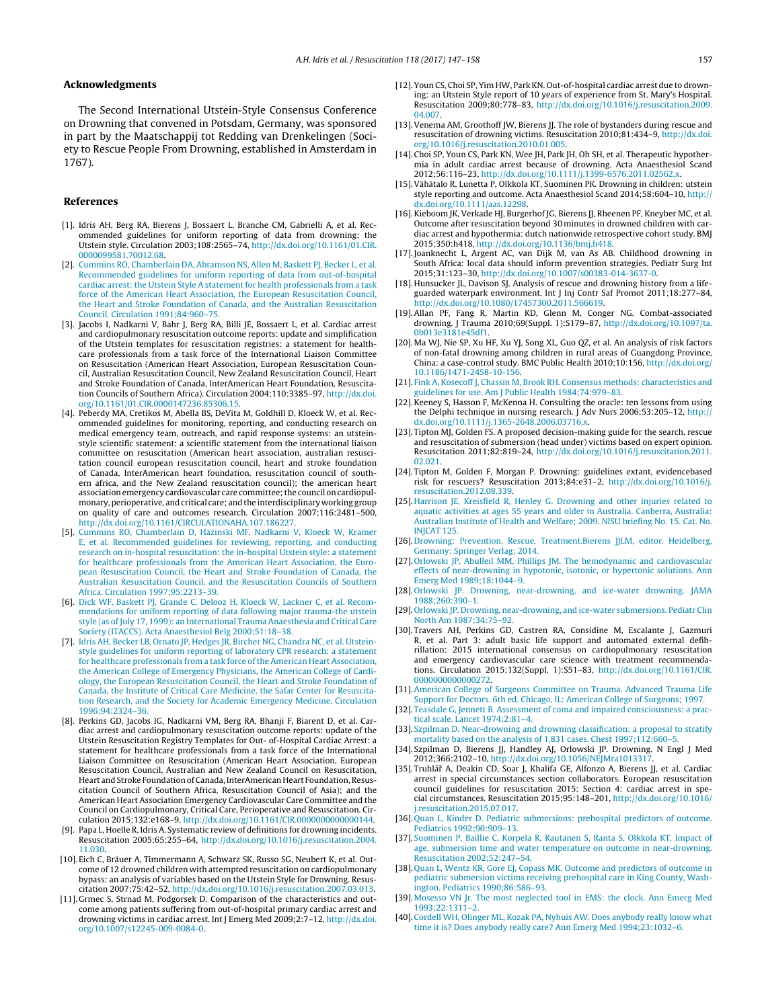#### <span id="page-10-0"></span>**Acknowledgments**

The Second International Utstein-Style Consensus Conference on Drowning that convened in Potsdam, Germany, was sponsored in part by the Maatschappij tot Redding van Drenkelingen (Society to Rescue People From Drowning, established in Amsterdam in 1767).

### **References**

- [1]. Idris AH, Berg RA, Bierens J, Bossaert L, Branche CM, Gabrielli A, et al. Recommended guidelines for uniform reporting of data from drowning: the Utstein style. Circulation 2003;108:2565–74, [http://dx.doi.org/10.1161/01.CIR.](dx.doi.org/10.1161/01.CIR.0000099581.70012.68) [0000099581.70012.68](dx.doi.org/10.1161/01.CIR.0000099581.70012.68).
- [2]. [Cummins](http://refhub.elsevier.com/S0300-9572(17)30237-X/sbref0010) [RO,](http://refhub.elsevier.com/S0300-9572(17)30237-X/sbref0010) [Chamberlain](http://refhub.elsevier.com/S0300-9572(17)30237-X/sbref0010) [DA,](http://refhub.elsevier.com/S0300-9572(17)30237-X/sbref0010) [Abramson](http://refhub.elsevier.com/S0300-9572(17)30237-X/sbref0010) [NS,](http://refhub.elsevier.com/S0300-9572(17)30237-X/sbref0010) [Allen](http://refhub.elsevier.com/S0300-9572(17)30237-X/sbref0010) [M,](http://refhub.elsevier.com/S0300-9572(17)30237-X/sbref0010) [Baskett](http://refhub.elsevier.com/S0300-9572(17)30237-X/sbref0010) [PJ,](http://refhub.elsevier.com/S0300-9572(17)30237-X/sbref0010) [Becker](http://refhub.elsevier.com/S0300-9572(17)30237-X/sbref0010) [L,](http://refhub.elsevier.com/S0300-9572(17)30237-X/sbref0010) [et](http://refhub.elsevier.com/S0300-9572(17)30237-X/sbref0010) [al.](http://refhub.elsevier.com/S0300-9572(17)30237-X/sbref0010) [Recommended](http://refhub.elsevier.com/S0300-9572(17)30237-X/sbref0010) [guidelines](http://refhub.elsevier.com/S0300-9572(17)30237-X/sbref0010) [for](http://refhub.elsevier.com/S0300-9572(17)30237-X/sbref0010) [uniform](http://refhub.elsevier.com/S0300-9572(17)30237-X/sbref0010) [reporting](http://refhub.elsevier.com/S0300-9572(17)30237-X/sbref0010) [of](http://refhub.elsevier.com/S0300-9572(17)30237-X/sbref0010) [data](http://refhub.elsevier.com/S0300-9572(17)30237-X/sbref0010) [from](http://refhub.elsevier.com/S0300-9572(17)30237-X/sbref0010) [out-of-hospital](http://refhub.elsevier.com/S0300-9572(17)30237-X/sbref0010) [cardiac](http://refhub.elsevier.com/S0300-9572(17)30237-X/sbref0010) [arrest:](http://refhub.elsevier.com/S0300-9572(17)30237-X/sbref0010) [the](http://refhub.elsevier.com/S0300-9572(17)30237-X/sbref0010) [Utstein](http://refhub.elsevier.com/S0300-9572(17)30237-X/sbref0010) [Style](http://refhub.elsevier.com/S0300-9572(17)30237-X/sbref0010) [A](http://refhub.elsevier.com/S0300-9572(17)30237-X/sbref0010) [statement](http://refhub.elsevier.com/S0300-9572(17)30237-X/sbref0010) [for](http://refhub.elsevier.com/S0300-9572(17)30237-X/sbref0010) [health](http://refhub.elsevier.com/S0300-9572(17)30237-X/sbref0010) [professionals](http://refhub.elsevier.com/S0300-9572(17)30237-X/sbref0010) [from](http://refhub.elsevier.com/S0300-9572(17)30237-X/sbref0010) [a](http://refhub.elsevier.com/S0300-9572(17)30237-X/sbref0010) [task](http://refhub.elsevier.com/S0300-9572(17)30237-X/sbref0010) [force](http://refhub.elsevier.com/S0300-9572(17)30237-X/sbref0010) [of](http://refhub.elsevier.com/S0300-9572(17)30237-X/sbref0010) [the](http://refhub.elsevier.com/S0300-9572(17)30237-X/sbref0010) [American](http://refhub.elsevier.com/S0300-9572(17)30237-X/sbref0010) [Heart](http://refhub.elsevier.com/S0300-9572(17)30237-X/sbref0010) [Association,](http://refhub.elsevier.com/S0300-9572(17)30237-X/sbref0010) [the](http://refhub.elsevier.com/S0300-9572(17)30237-X/sbref0010) [European](http://refhub.elsevier.com/S0300-9572(17)30237-X/sbref0010) [Resuscitation](http://refhub.elsevier.com/S0300-9572(17)30237-X/sbref0010) [Council,](http://refhub.elsevier.com/S0300-9572(17)30237-X/sbref0010) [the](http://refhub.elsevier.com/S0300-9572(17)30237-X/sbref0010) [Heart](http://refhub.elsevier.com/S0300-9572(17)30237-X/sbref0010) [and](http://refhub.elsevier.com/S0300-9572(17)30237-X/sbref0010) [Stroke](http://refhub.elsevier.com/S0300-9572(17)30237-X/sbref0010) [Foundation](http://refhub.elsevier.com/S0300-9572(17)30237-X/sbref0010) [of](http://refhub.elsevier.com/S0300-9572(17)30237-X/sbref0010) [Canada,](http://refhub.elsevier.com/S0300-9572(17)30237-X/sbref0010) [and](http://refhub.elsevier.com/S0300-9572(17)30237-X/sbref0010) [the](http://refhub.elsevier.com/S0300-9572(17)30237-X/sbref0010) [Australian](http://refhub.elsevier.com/S0300-9572(17)30237-X/sbref0010) [Resuscitation](http://refhub.elsevier.com/S0300-9572(17)30237-X/sbref0010) [Council.](http://refhub.elsevier.com/S0300-9572(17)30237-X/sbref0010) [Circulation](http://refhub.elsevier.com/S0300-9572(17)30237-X/sbref0010) [1991;84:960–75.](http://refhub.elsevier.com/S0300-9572(17)30237-X/sbref0010)
- [3]. Jacobs I, Nadkarni V, Bahr J, Berg RA, Billi JE, Bossaert L, et al. Cardiac arrest and cardiopulmonary resuscitation outcome reports: update and simplification of the Utstein templates for resuscitation registries: a statement for healthcare professionals from a task force of the International Liaison Committee on Resuscitation (American Heart Association, European Resuscitation Council, Australian Resuscitation Council, New Zealand Resuscitation Council, Heart and Stroke Foundation of Canada, InterAmerican Heart Foundation, Resuscitation Councils of Southern Africa). Circulation 2004;110:3385–97, [http://dx.doi.](dx.doi.org/10.1161/01.CIR.0000147236.85306.15) [org/10.1161/01.CIR.0000147236.85306.15](dx.doi.org/10.1161/01.CIR.0000147236.85306.15).
- [4]. Peberdy MA, Cretikos M, Abella BS, DeVita M, Goldhill D, Kloeck W, et al. Recommended guidelines for monitoring, reporting, and conducting research on medical emergency team, outreach, and rapid response systems: an utsteinstyle scientific statement: a scientific statement from the international liaison committee on resuscitation (American heart association, australian resuscitation council european resuscitation council, heart and stroke foundation of Canada, InterAmerican heart foundation, resuscitation council of southern africa, and the New Zealand resuscitation council); the american heart association emergency cardiovascular care committee; the council on cardiopulmonary, perioperative, and critical care; and the interdisciplinary working group on quality of care and outcomes research. Circulation 2007;116:2481–500, [http://dx.doi.org/10.1161/CIRCULATIONAHA.107.186227.](dx.doi.org/10.1161/CIRCULATIONAHA.107.186227)
- [5]. [Cummins](http://refhub.elsevier.com/S0300-9572(17)30237-X/sbref0025) [RO,](http://refhub.elsevier.com/S0300-9572(17)30237-X/sbref0025) [Chamberlain](http://refhub.elsevier.com/S0300-9572(17)30237-X/sbref0025) [D,](http://refhub.elsevier.com/S0300-9572(17)30237-X/sbref0025) [Hazinski](http://refhub.elsevier.com/S0300-9572(17)30237-X/sbref0025) [MF,](http://refhub.elsevier.com/S0300-9572(17)30237-X/sbref0025) [Nadkarni](http://refhub.elsevier.com/S0300-9572(17)30237-X/sbref0025) [V,](http://refhub.elsevier.com/S0300-9572(17)30237-X/sbref0025) [Kloeck](http://refhub.elsevier.com/S0300-9572(17)30237-X/sbref0025) [W,](http://refhub.elsevier.com/S0300-9572(17)30237-X/sbref0025) [Kramer](http://refhub.elsevier.com/S0300-9572(17)30237-X/sbref0025) [E,](http://refhub.elsevier.com/S0300-9572(17)30237-X/sbref0025) [et](http://refhub.elsevier.com/S0300-9572(17)30237-X/sbref0025) [al.](http://refhub.elsevier.com/S0300-9572(17)30237-X/sbref0025) [Recommended](http://refhub.elsevier.com/S0300-9572(17)30237-X/sbref0025) [guidelines](http://refhub.elsevier.com/S0300-9572(17)30237-X/sbref0025) [for](http://refhub.elsevier.com/S0300-9572(17)30237-X/sbref0025) [reviewing,](http://refhub.elsevier.com/S0300-9572(17)30237-X/sbref0025) [reporting,](http://refhub.elsevier.com/S0300-9572(17)30237-X/sbref0025) [and](http://refhub.elsevier.com/S0300-9572(17)30237-X/sbref0025) [conducting](http://refhub.elsevier.com/S0300-9572(17)30237-X/sbref0025) [research](http://refhub.elsevier.com/S0300-9572(17)30237-X/sbref0025) [on](http://refhub.elsevier.com/S0300-9572(17)30237-X/sbref0025) [in-hospital](http://refhub.elsevier.com/S0300-9572(17)30237-X/sbref0025) [resuscitation:](http://refhub.elsevier.com/S0300-9572(17)30237-X/sbref0025) [the](http://refhub.elsevier.com/S0300-9572(17)30237-X/sbref0025) [in-hospital](http://refhub.elsevier.com/S0300-9572(17)30237-X/sbref0025) [Utstein](http://refhub.elsevier.com/S0300-9572(17)30237-X/sbref0025) [style:](http://refhub.elsevier.com/S0300-9572(17)30237-X/sbref0025) [a](http://refhub.elsevier.com/S0300-9572(17)30237-X/sbref0025) [statement](http://refhub.elsevier.com/S0300-9572(17)30237-X/sbref0025) [for](http://refhub.elsevier.com/S0300-9572(17)30237-X/sbref0025) [healthcare](http://refhub.elsevier.com/S0300-9572(17)30237-X/sbref0025) [professionals](http://refhub.elsevier.com/S0300-9572(17)30237-X/sbref0025) [from](http://refhub.elsevier.com/S0300-9572(17)30237-X/sbref0025) [the](http://refhub.elsevier.com/S0300-9572(17)30237-X/sbref0025) [American](http://refhub.elsevier.com/S0300-9572(17)30237-X/sbref0025) [Heart](http://refhub.elsevier.com/S0300-9572(17)30237-X/sbref0025) [Association,](http://refhub.elsevier.com/S0300-9572(17)30237-X/sbref0025) [the](http://refhub.elsevier.com/S0300-9572(17)30237-X/sbref0025) [Euro](http://refhub.elsevier.com/S0300-9572(17)30237-X/sbref0025)[pean](http://refhub.elsevier.com/S0300-9572(17)30237-X/sbref0025) [Resuscitation](http://refhub.elsevier.com/S0300-9572(17)30237-X/sbref0025) [Council,](http://refhub.elsevier.com/S0300-9572(17)30237-X/sbref0025) [the](http://refhub.elsevier.com/S0300-9572(17)30237-X/sbref0025) [Heart](http://refhub.elsevier.com/S0300-9572(17)30237-X/sbref0025) [and](http://refhub.elsevier.com/S0300-9572(17)30237-X/sbref0025) [Stroke](http://refhub.elsevier.com/S0300-9572(17)30237-X/sbref0025) [Foundation](http://refhub.elsevier.com/S0300-9572(17)30237-X/sbref0025) [of](http://refhub.elsevier.com/S0300-9572(17)30237-X/sbref0025) [Canada,](http://refhub.elsevier.com/S0300-9572(17)30237-X/sbref0025) [the](http://refhub.elsevier.com/S0300-9572(17)30237-X/sbref0025) [Australian](http://refhub.elsevier.com/S0300-9572(17)30237-X/sbref0025) [Resuscitation](http://refhub.elsevier.com/S0300-9572(17)30237-X/sbref0025) [Council,](http://refhub.elsevier.com/S0300-9572(17)30237-X/sbref0025) [and](http://refhub.elsevier.com/S0300-9572(17)30237-X/sbref0025) [the](http://refhub.elsevier.com/S0300-9572(17)30237-X/sbref0025) [Resuscitation](http://refhub.elsevier.com/S0300-9572(17)30237-X/sbref0025) [Councils](http://refhub.elsevier.com/S0300-9572(17)30237-X/sbref0025) [of](http://refhub.elsevier.com/S0300-9572(17)30237-X/sbref0025) [Southern](http://refhub.elsevier.com/S0300-9572(17)30237-X/sbref0025) [Africa.](http://refhub.elsevier.com/S0300-9572(17)30237-X/sbref0025) [Circulation](http://refhub.elsevier.com/S0300-9572(17)30237-X/sbref0025) [1997;95:2213–39.](http://refhub.elsevier.com/S0300-9572(17)30237-X/sbref0025)
- [6]. [Dick](http://refhub.elsevier.com/S0300-9572(17)30237-X/sbref0030) [WF,](http://refhub.elsevier.com/S0300-9572(17)30237-X/sbref0030) [Baskett](http://refhub.elsevier.com/S0300-9572(17)30237-X/sbref0030) [PJ,](http://refhub.elsevier.com/S0300-9572(17)30237-X/sbref0030) [Grande](http://refhub.elsevier.com/S0300-9572(17)30237-X/sbref0030) [C,](http://refhub.elsevier.com/S0300-9572(17)30237-X/sbref0030) [Delooz](http://refhub.elsevier.com/S0300-9572(17)30237-X/sbref0030) [H,](http://refhub.elsevier.com/S0300-9572(17)30237-X/sbref0030) [Kloeck](http://refhub.elsevier.com/S0300-9572(17)30237-X/sbref0030) [W,](http://refhub.elsevier.com/S0300-9572(17)30237-X/sbref0030) [Lackner](http://refhub.elsevier.com/S0300-9572(17)30237-X/sbref0030) [C,](http://refhub.elsevier.com/S0300-9572(17)30237-X/sbref0030) [et](http://refhub.elsevier.com/S0300-9572(17)30237-X/sbref0030) [al.](http://refhub.elsevier.com/S0300-9572(17)30237-X/sbref0030) [Recom](http://refhub.elsevier.com/S0300-9572(17)30237-X/sbref0030)[mendations](http://refhub.elsevier.com/S0300-9572(17)30237-X/sbref0030) [for](http://refhub.elsevier.com/S0300-9572(17)30237-X/sbref0030) [uniform](http://refhub.elsevier.com/S0300-9572(17)30237-X/sbref0030) [reporting](http://refhub.elsevier.com/S0300-9572(17)30237-X/sbref0030) [of](http://refhub.elsevier.com/S0300-9572(17)30237-X/sbref0030) [data](http://refhub.elsevier.com/S0300-9572(17)30237-X/sbref0030) [following](http://refhub.elsevier.com/S0300-9572(17)30237-X/sbref0030) [major](http://refhub.elsevier.com/S0300-9572(17)30237-X/sbref0030) [trauma-the](http://refhub.elsevier.com/S0300-9572(17)30237-X/sbref0030) [utstein](http://refhub.elsevier.com/S0300-9572(17)30237-X/sbref0030) [style](http://refhub.elsevier.com/S0300-9572(17)30237-X/sbref0030) [\(as](http://refhub.elsevier.com/S0300-9572(17)30237-X/sbref0030) [of](http://refhub.elsevier.com/S0300-9572(17)30237-X/sbref0030) [July](http://refhub.elsevier.com/S0300-9572(17)30237-X/sbref0030) [17,](http://refhub.elsevier.com/S0300-9572(17)30237-X/sbref0030) [1999\):](http://refhub.elsevier.com/S0300-9572(17)30237-X/sbref0030) [an](http://refhub.elsevier.com/S0300-9572(17)30237-X/sbref0030) [International](http://refhub.elsevier.com/S0300-9572(17)30237-X/sbref0030) [Trauma](http://refhub.elsevier.com/S0300-9572(17)30237-X/sbref0030) [Anaesthesia](http://refhub.elsevier.com/S0300-9572(17)30237-X/sbref0030) [and](http://refhub.elsevier.com/S0300-9572(17)30237-X/sbref0030) [Critical](http://refhub.elsevier.com/S0300-9572(17)30237-X/sbref0030) [Care](http://refhub.elsevier.com/S0300-9572(17)30237-X/sbref0030) [Society](http://refhub.elsevier.com/S0300-9572(17)30237-X/sbref0030) [\(ITACCS\).](http://refhub.elsevier.com/S0300-9572(17)30237-X/sbref0030) [Acta](http://refhub.elsevier.com/S0300-9572(17)30237-X/sbref0030) [Anaesthesiol](http://refhub.elsevier.com/S0300-9572(17)30237-X/sbref0030) [Belg](http://refhub.elsevier.com/S0300-9572(17)30237-X/sbref0030) [2000;51:18–38.](http://refhub.elsevier.com/S0300-9572(17)30237-X/sbref0030)
- [7]. [Idris](http://refhub.elsevier.com/S0300-9572(17)30237-X/sbref0035) [AH,](http://refhub.elsevier.com/S0300-9572(17)30237-X/sbref0035) [Becker](http://refhub.elsevier.com/S0300-9572(17)30237-X/sbref0035) [LB,](http://refhub.elsevier.com/S0300-9572(17)30237-X/sbref0035) [Ornato](http://refhub.elsevier.com/S0300-9572(17)30237-X/sbref0035) [JP,](http://refhub.elsevier.com/S0300-9572(17)30237-X/sbref0035) [Hedges](http://refhub.elsevier.com/S0300-9572(17)30237-X/sbref0035) [JR,](http://refhub.elsevier.com/S0300-9572(17)30237-X/sbref0035) [Bircher](http://refhub.elsevier.com/S0300-9572(17)30237-X/sbref0035) [NG,](http://refhub.elsevier.com/S0300-9572(17)30237-X/sbref0035) [Chandra](http://refhub.elsevier.com/S0300-9572(17)30237-X/sbref0035) [NC,](http://refhub.elsevier.com/S0300-9572(17)30237-X/sbref0035) [et](http://refhub.elsevier.com/S0300-9572(17)30237-X/sbref0035) [al.](http://refhub.elsevier.com/S0300-9572(17)30237-X/sbref0035) [Utstein](http://refhub.elsevier.com/S0300-9572(17)30237-X/sbref0035)[style](http://refhub.elsevier.com/S0300-9572(17)30237-X/sbref0035) [guidelines](http://refhub.elsevier.com/S0300-9572(17)30237-X/sbref0035) [for](http://refhub.elsevier.com/S0300-9572(17)30237-X/sbref0035) [uniform](http://refhub.elsevier.com/S0300-9572(17)30237-X/sbref0035) [reporting](http://refhub.elsevier.com/S0300-9572(17)30237-X/sbref0035) [of](http://refhub.elsevier.com/S0300-9572(17)30237-X/sbref0035) [laboratory](http://refhub.elsevier.com/S0300-9572(17)30237-X/sbref0035) [CPR](http://refhub.elsevier.com/S0300-9572(17)30237-X/sbref0035) [research:](http://refhub.elsevier.com/S0300-9572(17)30237-X/sbref0035) [a](http://refhub.elsevier.com/S0300-9572(17)30237-X/sbref0035) [statement](http://refhub.elsevier.com/S0300-9572(17)30237-X/sbref0035) [for](http://refhub.elsevier.com/S0300-9572(17)30237-X/sbref0035) [healthcare](http://refhub.elsevier.com/S0300-9572(17)30237-X/sbref0035) [professionals](http://refhub.elsevier.com/S0300-9572(17)30237-X/sbref0035) [from](http://refhub.elsevier.com/S0300-9572(17)30237-X/sbref0035) [a](http://refhub.elsevier.com/S0300-9572(17)30237-X/sbref0035) [task](http://refhub.elsevier.com/S0300-9572(17)30237-X/sbref0035) [force](http://refhub.elsevier.com/S0300-9572(17)30237-X/sbref0035) of the [American](http://refhub.elsevier.com/S0300-9572(17)30237-X/sbref0035) [Heart](http://refhub.elsevier.com/S0300-9572(17)30237-X/sbref0035) [Association,](http://refhub.elsevier.com/S0300-9572(17)30237-X/sbref0035) [the](http://refhub.elsevier.com/S0300-9572(17)30237-X/sbref0035) [American](http://refhub.elsevier.com/S0300-9572(17)30237-X/sbref0035) [College](http://refhub.elsevier.com/S0300-9572(17)30237-X/sbref0035) [of](http://refhub.elsevier.com/S0300-9572(17)30237-X/sbref0035) [Emergency](http://refhub.elsevier.com/S0300-9572(17)30237-X/sbref0035) [Physicians,](http://refhub.elsevier.com/S0300-9572(17)30237-X/sbref0035) [the](http://refhub.elsevier.com/S0300-9572(17)30237-X/sbref0035) [American](http://refhub.elsevier.com/S0300-9572(17)30237-X/sbref0035) [College](http://refhub.elsevier.com/S0300-9572(17)30237-X/sbref0035) [of](http://refhub.elsevier.com/S0300-9572(17)30237-X/sbref0035) [Cardi](http://refhub.elsevier.com/S0300-9572(17)30237-X/sbref0035)[ology,](http://refhub.elsevier.com/S0300-9572(17)30237-X/sbref0035) [the](http://refhub.elsevier.com/S0300-9572(17)30237-X/sbref0035) [European](http://refhub.elsevier.com/S0300-9572(17)30237-X/sbref0035) [Resuscitation](http://refhub.elsevier.com/S0300-9572(17)30237-X/sbref0035) [Council,](http://refhub.elsevier.com/S0300-9572(17)30237-X/sbref0035) [the](http://refhub.elsevier.com/S0300-9572(17)30237-X/sbref0035) [Heart](http://refhub.elsevier.com/S0300-9572(17)30237-X/sbref0035) [and](http://refhub.elsevier.com/S0300-9572(17)30237-X/sbref0035) [Stroke](http://refhub.elsevier.com/S0300-9572(17)30237-X/sbref0035) [Foundation](http://refhub.elsevier.com/S0300-9572(17)30237-X/sbref0035) [of](http://refhub.elsevier.com/S0300-9572(17)30237-X/sbref0035) [Canada,](http://refhub.elsevier.com/S0300-9572(17)30237-X/sbref0035) [the](http://refhub.elsevier.com/S0300-9572(17)30237-X/sbref0035) [Institute](http://refhub.elsevier.com/S0300-9572(17)30237-X/sbref0035) [of](http://refhub.elsevier.com/S0300-9572(17)30237-X/sbref0035) [Critical](http://refhub.elsevier.com/S0300-9572(17)30237-X/sbref0035) [Care](http://refhub.elsevier.com/S0300-9572(17)30237-X/sbref0035) [Medicine,](http://refhub.elsevier.com/S0300-9572(17)30237-X/sbref0035) [the](http://refhub.elsevier.com/S0300-9572(17)30237-X/sbref0035) [Safar](http://refhub.elsevier.com/S0300-9572(17)30237-X/sbref0035) [Center](http://refhub.elsevier.com/S0300-9572(17)30237-X/sbref0035) [for](http://refhub.elsevier.com/S0300-9572(17)30237-X/sbref0035) [Resuscita](http://refhub.elsevier.com/S0300-9572(17)30237-X/sbref0035)[tion](http://refhub.elsevier.com/S0300-9572(17)30237-X/sbref0035) [Research,](http://refhub.elsevier.com/S0300-9572(17)30237-X/sbref0035) [and](http://refhub.elsevier.com/S0300-9572(17)30237-X/sbref0035) [the](http://refhub.elsevier.com/S0300-9572(17)30237-X/sbref0035) [Society](http://refhub.elsevier.com/S0300-9572(17)30237-X/sbref0035) [for](http://refhub.elsevier.com/S0300-9572(17)30237-X/sbref0035) [Academic](http://refhub.elsevier.com/S0300-9572(17)30237-X/sbref0035) [Emergency](http://refhub.elsevier.com/S0300-9572(17)30237-X/sbref0035) [Medicine.](http://refhub.elsevier.com/S0300-9572(17)30237-X/sbref0035) [Circulation](http://refhub.elsevier.com/S0300-9572(17)30237-X/sbref0035) [1996;94:2324–36.](http://refhub.elsevier.com/S0300-9572(17)30237-X/sbref0035)
- [8]. Perkins GD, Jacobs IG, Nadkarni VM, Berg RA, Bhanji F, Biarent D, et al. Cardiac arrest and cardiopulmonary resuscitation outcome reports: update of the Utstein Resuscitation Registry Templates for Out- of-Hospital Cardiac Arrest: a statement for healthcare professionals from a task force of the International Liaison Committee on Resuscitation (American Heart Association, European Resuscitation Council, Australian and New Zealand Council on Resuscitation, Heart and Stroke Foundation of Canada, InterAmerican Heart Foundation, Resuscitation Council of Southern Africa, Resuscitation Council of Asia); and the American Heart Association Emergency Cardiovascular Care Committee and the Council on Cardiopulmonary, Critical Care, Perioperative and Resuscitation. Circulation 2015;132:e168–9, [http://dx.doi.org/10.1161/CIR.0000000000000144](dx.doi.org/10.1161/CIR.0000000000000144).
- [9]. Papa L, Hoelle R, Idris A. Systematic review of definitions for drowning incidents. Resuscitation 2005;65:255–64, [http://dx.doi.org/10.1016/j.resuscitation.2004.](dx.doi.org/10.1016/j.resuscitation.2004.11.030) [11.030](dx.doi.org/10.1016/j.resuscitation.2004.11.030).
- [10]. Eich C, Bräuer A, Timmermann A, Schwarz SK, Russo SG, Neubert K, et al. Outcome of 12 drowned children with attempted resuscitation on cardiopulmonary bypass: an analysis of variables based on the Utstein Style for Drowning. Resuscitation 2007;75:42–52, [http://dx.doi.org/10.1016/j.resuscitation.2007.03.013.](dx.doi.org/10.1016/j.resuscitation.2007.03.013)
- [11]. Grmec S, Strnad M, Podgorsek D. Comparison of the characteristics and outcome among patients suffering from out-of-hospital primary cardiac arrest and drowning victims in cardiac arrest. Int J Emerg Med 2009;2:7–12, [http://dx.doi.](dx.doi.org/10.1007/s12245-009-0084-0) [org/10.1007/s12245-009-0084-0](dx.doi.org/10.1007/s12245-009-0084-0).
- [12].Youn CS, Choi SP, Yim HW, Park KN. Out-of-hospital cardiac arrest due to drowning: an Utstein Style report of 10 years of experience from St. Mary's Hospital. Resuscitation 2009;80:778–83, [http://dx.doi.org/10.1016/j.resuscitation.2009.](dx.doi.org/10.1016/j.resuscitation.2009.04.007) [04.007.](dx.doi.org/10.1016/j.resuscitation.2009.04.007)
- [13]. Venema AM, Groothoff JW, Bierens JJ. The role of bystanders during rescue and resuscitation of drowning victims. Resuscitation 2010;81:434–9, [http://dx.doi.](dx.doi.org/10.1016/j.resuscitation.2010.01.005) [org/10.1016/j.resuscitation.2010.01.005.](dx.doi.org/10.1016/j.resuscitation.2010.01.005)
- [14]. Choi SP, Youn CS, Park KN, Wee JH, Park JH, Oh SH, et al. Therapeutic hypothermia in adult cardiac arrest because of drowning. Acta Anaesthesiol Scand 2012;56:116–23, [http://dx.doi.org/10.1111/j.1399-6576.2011.02562.x.](dx.doi.org/10.1111/j.1399-6576.2011.02562.x)
- [15].Vähätalo R, Lunetta P, Olkkola KT, Suominen PK. Drowning in children: utstein style reporting and outcome. Acta Anaesthesiol Scand 2014;58:604–10, [http://](dx.doi.org/10.1111/aas.12298) [dx.doi.org/10.1111/aas.12298.](dx.doi.org/10.1111/aas.12298)
- [16].Kieboom JK, Verkade HJ, Burgerhof JG, Bierens JJ, Rheenen PF, Kneyber MC, et al. Outcome after resuscitation beyond 30 minutes in drowned children with cardiac arrest and hypothermia: dutch nationwide retrospective cohort study. BMJ 2015;350:h418, [http://dx.doi.org/10.1136/bmj.h418](dx.doi.org/10.1136/bmj.h418).
- [17].Joanknecht L, Argent AC, van Dijk M, van As AB. Childhood drowning in South Africa: local data should inform prevention strategies. Pediatr Surg Int 2015;31:123–30, [http://dx.doi.org/10.1007/s00383-014-3637-0.](dx.doi.org/10.1007/s00383-014-3637-0)
- [18]. Hunsucker JL, Davison SJ. Analysis of rescue and drowning history from a lifeguarded waterpark environment. Int J Inj Contr Saf Promot 2011;18:277–84, [http://dx.doi.org/10.1080/17457300.2011.566619](dx.doi.org/10.1080/17457300.2011.566619).
- [19].Allan PF, Fang R, Martin KD, Glenn M, Conger NG. Combat-associated drowning. J Trauma 2010;69(Suppl. 1):S179–87, [http://dx.doi.org/10.1097/ta.](dx.doi.org/10.1097/ta.0b013e3181e45df1) [0b013e3181e45df1](dx.doi.org/10.1097/ta.0b013e3181e45df1).
- [20].Ma WJ, Nie SP, Xu HF, Xu YJ, Song XL, Guo QZ, et al. An analysis of risk factors of non-fatal drowning among children in rural areas of Guangdong Province, China: a case-control study. BMC Public Health 2010;10:156, [http://dx.doi.org/](dx.doi.org/10.1186/1471-2458-10-156) [10.1186/1471-2458-10-156](dx.doi.org/10.1186/1471-2458-10-156).
- [21]. [Fink](http://refhub.elsevier.com/S0300-9572(17)30237-X/sbref0105) [A,](http://refhub.elsevier.com/S0300-9572(17)30237-X/sbref0105) [Kosecoff](http://refhub.elsevier.com/S0300-9572(17)30237-X/sbref0105) [J,](http://refhub.elsevier.com/S0300-9572(17)30237-X/sbref0105) [Chassin](http://refhub.elsevier.com/S0300-9572(17)30237-X/sbref0105) [M,](http://refhub.elsevier.com/S0300-9572(17)30237-X/sbref0105) [Brook](http://refhub.elsevier.com/S0300-9572(17)30237-X/sbref0105) [RH.](http://refhub.elsevier.com/S0300-9572(17)30237-X/sbref0105) [Consensus](http://refhub.elsevier.com/S0300-9572(17)30237-X/sbref0105) [methods:](http://refhub.elsevier.com/S0300-9572(17)30237-X/sbref0105) [characteristics](http://refhub.elsevier.com/S0300-9572(17)30237-X/sbref0105) [and](http://refhub.elsevier.com/S0300-9572(17)30237-X/sbref0105) [guidelines](http://refhub.elsevier.com/S0300-9572(17)30237-X/sbref0105) [for](http://refhub.elsevier.com/S0300-9572(17)30237-X/sbref0105) [use.](http://refhub.elsevier.com/S0300-9572(17)30237-X/sbref0105) [Am](http://refhub.elsevier.com/S0300-9572(17)30237-X/sbref0105) [J](http://refhub.elsevier.com/S0300-9572(17)30237-X/sbref0105) [Public](http://refhub.elsevier.com/S0300-9572(17)30237-X/sbref0105) [Health](http://refhub.elsevier.com/S0300-9572(17)30237-X/sbref0105) [1984;74:979](http://refhub.elsevier.com/S0300-9572(17)30237-X/sbref0105)–[83.](http://refhub.elsevier.com/S0300-9572(17)30237-X/sbref0105)
- [22].Keeney S, Hasson F, McKenna H. Consulting the oracle: ten lessons from using the Delphi technique in nursing research. Adv Nurs 2006;53:205-12, [http://](dx.doi.org/10.1111/j.1365-2648.2006.03716.x) [dx.doi.org/10.1111/j.1365-2648.2006.03716.x.](dx.doi.org/10.1111/j.1365-2648.2006.03716.x)
- [23]. Tipton MJ, Golden FS. A proposed decision-making guide for the search, rescue and resuscitation of submersion (head under) victims based on expert opinion. Resuscitation 2011;82:819–24, [http://dx.doi.org/10.1016/j.resuscitation.2011.](dx.doi.org/10.1016/j.resuscitation.2011.02.021) [02.021.](dx.doi.org/10.1016/j.resuscitation.2011.02.021)
- [24]. Tipton M, Golden F, Morgan P. Drowning: guidelines extant, evidencebased risk for rescuers? Resuscitation 2013;84:e31–2, [http://dx.doi.org/10.1016/j.](dx.doi.org/10.1016/j.resuscitation.2012.08.339) [resuscitation.2012.08.339.](dx.doi.org/10.1016/j.resuscitation.2012.08.339)
- [25]. [Harrison](http://refhub.elsevier.com/S0300-9572(17)30237-X/sbref0125) [JE,](http://refhub.elsevier.com/S0300-9572(17)30237-X/sbref0125) [Kreisfield](http://refhub.elsevier.com/S0300-9572(17)30237-X/sbref0125) [R,](http://refhub.elsevier.com/S0300-9572(17)30237-X/sbref0125) [Henley](http://refhub.elsevier.com/S0300-9572(17)30237-X/sbref0125) [G.](http://refhub.elsevier.com/S0300-9572(17)30237-X/sbref0125) [Drowning](http://refhub.elsevier.com/S0300-9572(17)30237-X/sbref0125) [and](http://refhub.elsevier.com/S0300-9572(17)30237-X/sbref0125) [other](http://refhub.elsevier.com/S0300-9572(17)30237-X/sbref0125) [injuries](http://refhub.elsevier.com/S0300-9572(17)30237-X/sbref0125) [related](http://refhub.elsevier.com/S0300-9572(17)30237-X/sbref0125) [to](http://refhub.elsevier.com/S0300-9572(17)30237-X/sbref0125) [aquatic](http://refhub.elsevier.com/S0300-9572(17)30237-X/sbref0125) [activities](http://refhub.elsevier.com/S0300-9572(17)30237-X/sbref0125) [at](http://refhub.elsevier.com/S0300-9572(17)30237-X/sbref0125) [ages](http://refhub.elsevier.com/S0300-9572(17)30237-X/sbref0125) [55](http://refhub.elsevier.com/S0300-9572(17)30237-X/sbref0125) [years](http://refhub.elsevier.com/S0300-9572(17)30237-X/sbref0125) [and](http://refhub.elsevier.com/S0300-9572(17)30237-X/sbref0125) [older](http://refhub.elsevier.com/S0300-9572(17)30237-X/sbref0125) [in](http://refhub.elsevier.com/S0300-9572(17)30237-X/sbref0125) [Australia.](http://refhub.elsevier.com/S0300-9572(17)30237-X/sbref0125) [Canberra,](http://refhub.elsevier.com/S0300-9572(17)30237-X/sbref0125) [Australia:](http://refhub.elsevier.com/S0300-9572(17)30237-X/sbref0125) [Australian](http://refhub.elsevier.com/S0300-9572(17)30237-X/sbref0125) [Institute](http://refhub.elsevier.com/S0300-9572(17)30237-X/sbref0125) [of](http://refhub.elsevier.com/S0300-9572(17)30237-X/sbref0125) [Health](http://refhub.elsevier.com/S0300-9572(17)30237-X/sbref0125) [and](http://refhub.elsevier.com/S0300-9572(17)30237-X/sbref0125) [Welfare;](http://refhub.elsevier.com/S0300-9572(17)30237-X/sbref0125) [2009.](http://refhub.elsevier.com/S0300-9572(17)30237-X/sbref0125) [NISU](http://refhub.elsevier.com/S0300-9572(17)30237-X/sbref0125) [briefing](http://refhub.elsevier.com/S0300-9572(17)30237-X/sbref0125) [No.](http://refhub.elsevier.com/S0300-9572(17)30237-X/sbref0125) [15.](http://refhub.elsevier.com/S0300-9572(17)30237-X/sbref0125) [Cat.](http://refhub.elsevier.com/S0300-9572(17)30237-X/sbref0125) [No.](http://refhub.elsevier.com/S0300-9572(17)30237-X/sbref0125) [INJCAT](http://refhub.elsevier.com/S0300-9572(17)30237-X/sbref0125) [125.](http://refhub.elsevier.com/S0300-9572(17)30237-X/sbref0125)
- [26]. [Drowning:](http://refhub.elsevier.com/S0300-9572(17)30237-X/sbref0130) [Prevention,](http://refhub.elsevier.com/S0300-9572(17)30237-X/sbref0130) [Rescue,](http://refhub.elsevier.com/S0300-9572(17)30237-X/sbref0130) [Treatment.Bierens](http://refhub.elsevier.com/S0300-9572(17)30237-X/sbref0130) [JJLM,](http://refhub.elsevier.com/S0300-9572(17)30237-X/sbref0130) [editor.](http://refhub.elsevier.com/S0300-9572(17)30237-X/sbref0130) [Heidelberg,](http://refhub.elsevier.com/S0300-9572(17)30237-X/sbref0130) [Germany:](http://refhub.elsevier.com/S0300-9572(17)30237-X/sbref0130) [Springer](http://refhub.elsevier.com/S0300-9572(17)30237-X/sbref0130) [Verlag;](http://refhub.elsevier.com/S0300-9572(17)30237-X/sbref0130) [2014.](http://refhub.elsevier.com/S0300-9572(17)30237-X/sbref0130)
- [27]. [Orlowski](http://refhub.elsevier.com/S0300-9572(17)30237-X/sbref0135) [JP,](http://refhub.elsevier.com/S0300-9572(17)30237-X/sbref0135) [Abulleil](http://refhub.elsevier.com/S0300-9572(17)30237-X/sbref0135) [MM,](http://refhub.elsevier.com/S0300-9572(17)30237-X/sbref0135) [Phillips](http://refhub.elsevier.com/S0300-9572(17)30237-X/sbref0135) [JM.](http://refhub.elsevier.com/S0300-9572(17)30237-X/sbref0135) [The](http://refhub.elsevier.com/S0300-9572(17)30237-X/sbref0135) [hemodynamic](http://refhub.elsevier.com/S0300-9572(17)30237-X/sbref0135) [and](http://refhub.elsevier.com/S0300-9572(17)30237-X/sbref0135) [cardiovascular](http://refhub.elsevier.com/S0300-9572(17)30237-X/sbref0135) [effects](http://refhub.elsevier.com/S0300-9572(17)30237-X/sbref0135) [of](http://refhub.elsevier.com/S0300-9572(17)30237-X/sbref0135) [near-drowning](http://refhub.elsevier.com/S0300-9572(17)30237-X/sbref0135) [in](http://refhub.elsevier.com/S0300-9572(17)30237-X/sbref0135) [hypotonic,](http://refhub.elsevier.com/S0300-9572(17)30237-X/sbref0135) [isotonic,](http://refhub.elsevier.com/S0300-9572(17)30237-X/sbref0135) [or](http://refhub.elsevier.com/S0300-9572(17)30237-X/sbref0135) [hypertonic](http://refhub.elsevier.com/S0300-9572(17)30237-X/sbref0135) [solutions.](http://refhub.elsevier.com/S0300-9572(17)30237-X/sbref0135) [Ann](http://refhub.elsevier.com/S0300-9572(17)30237-X/sbref0135) [Emerg](http://refhub.elsevier.com/S0300-9572(17)30237-X/sbref0135) [Med](http://refhub.elsevier.com/S0300-9572(17)30237-X/sbref0135) [1989;18:1044–9.](http://refhub.elsevier.com/S0300-9572(17)30237-X/sbref0135)
- [28]. [Orlowski](http://refhub.elsevier.com/S0300-9572(17)30237-X/sbref0140) [JP.](http://refhub.elsevier.com/S0300-9572(17)30237-X/sbref0140) [Drowning,](http://refhub.elsevier.com/S0300-9572(17)30237-X/sbref0140) [near-drowning,](http://refhub.elsevier.com/S0300-9572(17)30237-X/sbref0140) [and](http://refhub.elsevier.com/S0300-9572(17)30237-X/sbref0140) [ice-water](http://refhub.elsevier.com/S0300-9572(17)30237-X/sbref0140) [drowning.](http://refhub.elsevier.com/S0300-9572(17)30237-X/sbref0140) [JAMA](http://refhub.elsevier.com/S0300-9572(17)30237-X/sbref0140) [1988;260:390–1.](http://refhub.elsevier.com/S0300-9572(17)30237-X/sbref0140)
- [29]. [Orlowski](http://refhub.elsevier.com/S0300-9572(17)30237-X/sbref0145) [JP.](http://refhub.elsevier.com/S0300-9572(17)30237-X/sbref0145) [Drowning,](http://refhub.elsevier.com/S0300-9572(17)30237-X/sbref0145) [near-drowning,](http://refhub.elsevier.com/S0300-9572(17)30237-X/sbref0145) [and](http://refhub.elsevier.com/S0300-9572(17)30237-X/sbref0145) [ice-water](http://refhub.elsevier.com/S0300-9572(17)30237-X/sbref0145) [submersions.](http://refhub.elsevier.com/S0300-9572(17)30237-X/sbref0145) [Pediatr](http://refhub.elsevier.com/S0300-9572(17)30237-X/sbref0145) [Clin](http://refhub.elsevier.com/S0300-9572(17)30237-X/sbref0145) [North](http://refhub.elsevier.com/S0300-9572(17)30237-X/sbref0145) [Am](http://refhub.elsevier.com/S0300-9572(17)30237-X/sbref0145) [1987;34:75–92.](http://refhub.elsevier.com/S0300-9572(17)30237-X/sbref0145)
- [30]. Travers AH, Perkins GD, Castren RA, Considine M, Escalante J, Gazmuri R, et al. Part 3: adult basic life support and automated external defibrillation: 2015 international consensus on cardiopulmonary resuscitation and emergency cardiovascular care science with treatment recommendations. Circulation 2015;132(Suppl. 1):S51–83, [http://dx.doi.org/10.1161/CIR.](dx.doi.org/10.1161/CIR.0000000000000272) [0000000000000272.](dx.doi.org/10.1161/CIR.0000000000000272)
- [31].[American](http://refhub.elsevier.com/S0300-9572(17)30237-X/sbref0155) [College](http://refhub.elsevier.com/S0300-9572(17)30237-X/sbref0155) [of](http://refhub.elsevier.com/S0300-9572(17)30237-X/sbref0155) [Surgeons](http://refhub.elsevier.com/S0300-9572(17)30237-X/sbref0155) [Committee](http://refhub.elsevier.com/S0300-9572(17)30237-X/sbref0155) [on](http://refhub.elsevier.com/S0300-9572(17)30237-X/sbref0155) [Trauma.](http://refhub.elsevier.com/S0300-9572(17)30237-X/sbref0155) [Advanced](http://refhub.elsevier.com/S0300-9572(17)30237-X/sbref0155) [Trauma](http://refhub.elsevier.com/S0300-9572(17)30237-X/sbref0155) [Life](http://refhub.elsevier.com/S0300-9572(17)30237-X/sbref0155) [Support](http://refhub.elsevier.com/S0300-9572(17)30237-X/sbref0155) [for](http://refhub.elsevier.com/S0300-9572(17)30237-X/sbref0155) [Doctors.](http://refhub.elsevier.com/S0300-9572(17)30237-X/sbref0155) [6th](http://refhub.elsevier.com/S0300-9572(17)30237-X/sbref0155) [ed.](http://refhub.elsevier.com/S0300-9572(17)30237-X/sbref0155) [Chicago,](http://refhub.elsevier.com/S0300-9572(17)30237-X/sbref0155) [IL:](http://refhub.elsevier.com/S0300-9572(17)30237-X/sbref0155) [American](http://refhub.elsevier.com/S0300-9572(17)30237-X/sbref0155) [College](http://refhub.elsevier.com/S0300-9572(17)30237-X/sbref0155) [of](http://refhub.elsevier.com/S0300-9572(17)30237-X/sbref0155) [Surgeons;](http://refhub.elsevier.com/S0300-9572(17)30237-X/sbref0155) [1997.](http://refhub.elsevier.com/S0300-9572(17)30237-X/sbref0155)
- [32]. [Teasdale](http://refhub.elsevier.com/S0300-9572(17)30237-X/sbref0160) [G,](http://refhub.elsevier.com/S0300-9572(17)30237-X/sbref0160) [Jennett](http://refhub.elsevier.com/S0300-9572(17)30237-X/sbref0160) [B.](http://refhub.elsevier.com/S0300-9572(17)30237-X/sbref0160) [Assessment](http://refhub.elsevier.com/S0300-9572(17)30237-X/sbref0160) [of](http://refhub.elsevier.com/S0300-9572(17)30237-X/sbref0160) [coma](http://refhub.elsevier.com/S0300-9572(17)30237-X/sbref0160) [and](http://refhub.elsevier.com/S0300-9572(17)30237-X/sbref0160) [impaired](http://refhub.elsevier.com/S0300-9572(17)30237-X/sbref0160) [consciousness:](http://refhub.elsevier.com/S0300-9572(17)30237-X/sbref0160) [a](http://refhub.elsevier.com/S0300-9572(17)30237-X/sbref0160) [prac](http://refhub.elsevier.com/S0300-9572(17)30237-X/sbref0160)[tical](http://refhub.elsevier.com/S0300-9572(17)30237-X/sbref0160) [scale.](http://refhub.elsevier.com/S0300-9572(17)30237-X/sbref0160) [Lancet](http://refhub.elsevier.com/S0300-9572(17)30237-X/sbref0160) [1974;2:81–4.](http://refhub.elsevier.com/S0300-9572(17)30237-X/sbref0160)
- [33]. [Szpilman](http://refhub.elsevier.com/S0300-9572(17)30237-X/sbref0165) [D.](http://refhub.elsevier.com/S0300-9572(17)30237-X/sbref0165) [Near-drowning](http://refhub.elsevier.com/S0300-9572(17)30237-X/sbref0165) [and](http://refhub.elsevier.com/S0300-9572(17)30237-X/sbref0165) [drowning](http://refhub.elsevier.com/S0300-9572(17)30237-X/sbref0165) [classification:](http://refhub.elsevier.com/S0300-9572(17)30237-X/sbref0165) [a](http://refhub.elsevier.com/S0300-9572(17)30237-X/sbref0165) [proposal](http://refhub.elsevier.com/S0300-9572(17)30237-X/sbref0165) [to](http://refhub.elsevier.com/S0300-9572(17)30237-X/sbref0165) [stratify](http://refhub.elsevier.com/S0300-9572(17)30237-X/sbref0165) [mortality](http://refhub.elsevier.com/S0300-9572(17)30237-X/sbref0165) [based](http://refhub.elsevier.com/S0300-9572(17)30237-X/sbref0165) [on](http://refhub.elsevier.com/S0300-9572(17)30237-X/sbref0165) [the](http://refhub.elsevier.com/S0300-9572(17)30237-X/sbref0165) [analysis](http://refhub.elsevier.com/S0300-9572(17)30237-X/sbref0165) [of](http://refhub.elsevier.com/S0300-9572(17)30237-X/sbref0165) [1,831](http://refhub.elsevier.com/S0300-9572(17)30237-X/sbref0165) [cases.](http://refhub.elsevier.com/S0300-9572(17)30237-X/sbref0165) [Chest](http://refhub.elsevier.com/S0300-9572(17)30237-X/sbref0165) [1997;112:660](http://refhub.elsevier.com/S0300-9572(17)30237-X/sbref0165)–[5.](http://refhub.elsevier.com/S0300-9572(17)30237-X/sbref0165)
- [34]. Szpilman D, Bierens JJ, Handley AJ, Orlowski JP. Drowning. N Engl J Med 2012;366:2102–10, [http://dx.doi.org/10.1056/NEJMra1013317](dx.doi.org/10.1056/NEJMra1013317).
- [35]. Truhlář A, Deakin CD, Soar J, Khalifa GE, Alfonzo A, Bierens JJ, et al. Cardiac arrest in special circumstances section collaborators. European resuscitation council guidelines for resuscitation 2015: Section 4: cardiac arrest in special circumstances. Resuscitation 2015;95:148–201, [http://dx.doi.org/10.1016/](dx.doi.org/10.1016/j.resuscitation.2015.07.017) [j.resuscitation.2015.07.017](dx.doi.org/10.1016/j.resuscitation.2015.07.017).
- [36]. [Quan](http://refhub.elsevier.com/S0300-9572(17)30237-X/sbref0180) [L,](http://refhub.elsevier.com/S0300-9572(17)30237-X/sbref0180) [Kinder](http://refhub.elsevier.com/S0300-9572(17)30237-X/sbref0180) [D.](http://refhub.elsevier.com/S0300-9572(17)30237-X/sbref0180) [Pediatric](http://refhub.elsevier.com/S0300-9572(17)30237-X/sbref0180) [submersions:](http://refhub.elsevier.com/S0300-9572(17)30237-X/sbref0180) [prehospital](http://refhub.elsevier.com/S0300-9572(17)30237-X/sbref0180) [predictors](http://refhub.elsevier.com/S0300-9572(17)30237-X/sbref0180) [of](http://refhub.elsevier.com/S0300-9572(17)30237-X/sbref0180) [outcome.](http://refhub.elsevier.com/S0300-9572(17)30237-X/sbref0180) [Pediatrics](http://refhub.elsevier.com/S0300-9572(17)30237-X/sbref0180) [1992;90:909](http://refhub.elsevier.com/S0300-9572(17)30237-X/sbref0180)–[13.](http://refhub.elsevier.com/S0300-9572(17)30237-X/sbref0180)
- [37]. [Suominen](http://refhub.elsevier.com/S0300-9572(17)30237-X/sbref0185) [P,](http://refhub.elsevier.com/S0300-9572(17)30237-X/sbref0185) [Baillie](http://refhub.elsevier.com/S0300-9572(17)30237-X/sbref0185) [C,](http://refhub.elsevier.com/S0300-9572(17)30237-X/sbref0185) [Korpela](http://refhub.elsevier.com/S0300-9572(17)30237-X/sbref0185) [R,](http://refhub.elsevier.com/S0300-9572(17)30237-X/sbref0185) [Rautanen](http://refhub.elsevier.com/S0300-9572(17)30237-X/sbref0185) [S,](http://refhub.elsevier.com/S0300-9572(17)30237-X/sbref0185) [Ranta](http://refhub.elsevier.com/S0300-9572(17)30237-X/sbref0185) [S,](http://refhub.elsevier.com/S0300-9572(17)30237-X/sbref0185) [Olkkola](http://refhub.elsevier.com/S0300-9572(17)30237-X/sbref0185) [KT.](http://refhub.elsevier.com/S0300-9572(17)30237-X/sbref0185) [Impact](http://refhub.elsevier.com/S0300-9572(17)30237-X/sbref0185) [of](http://refhub.elsevier.com/S0300-9572(17)30237-X/sbref0185) [age,](http://refhub.elsevier.com/S0300-9572(17)30237-X/sbref0185) [submersion](http://refhub.elsevier.com/S0300-9572(17)30237-X/sbref0185) [time](http://refhub.elsevier.com/S0300-9572(17)30237-X/sbref0185) [and](http://refhub.elsevier.com/S0300-9572(17)30237-X/sbref0185) [water](http://refhub.elsevier.com/S0300-9572(17)30237-X/sbref0185) [temperature](http://refhub.elsevier.com/S0300-9572(17)30237-X/sbref0185) [on](http://refhub.elsevier.com/S0300-9572(17)30237-X/sbref0185) [outcome](http://refhub.elsevier.com/S0300-9572(17)30237-X/sbref0185) [in](http://refhub.elsevier.com/S0300-9572(17)30237-X/sbref0185) [near-drowning.](http://refhub.elsevier.com/S0300-9572(17)30237-X/sbref0185) [Resuscitation](http://refhub.elsevier.com/S0300-9572(17)30237-X/sbref0185) [2002;52:247–54.](http://refhub.elsevier.com/S0300-9572(17)30237-X/sbref0185)
- [38]. [Quan](http://refhub.elsevier.com/S0300-9572(17)30237-X/sbref0190) [L,](http://refhub.elsevier.com/S0300-9572(17)30237-X/sbref0190) [Wentz](http://refhub.elsevier.com/S0300-9572(17)30237-X/sbref0190) [KR,](http://refhub.elsevier.com/S0300-9572(17)30237-X/sbref0190) [Gore](http://refhub.elsevier.com/S0300-9572(17)30237-X/sbref0190) [EJ,](http://refhub.elsevier.com/S0300-9572(17)30237-X/sbref0190) [Copass](http://refhub.elsevier.com/S0300-9572(17)30237-X/sbref0190) [MK.](http://refhub.elsevier.com/S0300-9572(17)30237-X/sbref0190) [Outcome](http://refhub.elsevier.com/S0300-9572(17)30237-X/sbref0190) [and](http://refhub.elsevier.com/S0300-9572(17)30237-X/sbref0190) [predictors](http://refhub.elsevier.com/S0300-9572(17)30237-X/sbref0190) [of](http://refhub.elsevier.com/S0300-9572(17)30237-X/sbref0190) [outcome](http://refhub.elsevier.com/S0300-9572(17)30237-X/sbref0190) [in](http://refhub.elsevier.com/S0300-9572(17)30237-X/sbref0190) [pediatric](http://refhub.elsevier.com/S0300-9572(17)30237-X/sbref0190) [submersion](http://refhub.elsevier.com/S0300-9572(17)30237-X/sbref0190) [victims](http://refhub.elsevier.com/S0300-9572(17)30237-X/sbref0190) [receiving](http://refhub.elsevier.com/S0300-9572(17)30237-X/sbref0190) [prehospital](http://refhub.elsevier.com/S0300-9572(17)30237-X/sbref0190) [care](http://refhub.elsevier.com/S0300-9572(17)30237-X/sbref0190) [in](http://refhub.elsevier.com/S0300-9572(17)30237-X/sbref0190) [King](http://refhub.elsevier.com/S0300-9572(17)30237-X/sbref0190) [County,](http://refhub.elsevier.com/S0300-9572(17)30237-X/sbref0190) [Wash](http://refhub.elsevier.com/S0300-9572(17)30237-X/sbref0190)[ington.](http://refhub.elsevier.com/S0300-9572(17)30237-X/sbref0190) [Pediatrics](http://refhub.elsevier.com/S0300-9572(17)30237-X/sbref0190) [1990;86:586–93.](http://refhub.elsevier.com/S0300-9572(17)30237-X/sbref0190)
- [39].[Mosesso](http://refhub.elsevier.com/S0300-9572(17)30237-X/sbref0195) [VN](http://refhub.elsevier.com/S0300-9572(17)30237-X/sbref0195) [Jr.](http://refhub.elsevier.com/S0300-9572(17)30237-X/sbref0195) [The](http://refhub.elsevier.com/S0300-9572(17)30237-X/sbref0195) [most](http://refhub.elsevier.com/S0300-9572(17)30237-X/sbref0195) [neglected](http://refhub.elsevier.com/S0300-9572(17)30237-X/sbref0195) [tool](http://refhub.elsevier.com/S0300-9572(17)30237-X/sbref0195) [in](http://refhub.elsevier.com/S0300-9572(17)30237-X/sbref0195) [EMS:](http://refhub.elsevier.com/S0300-9572(17)30237-X/sbref0195) [the](http://refhub.elsevier.com/S0300-9572(17)30237-X/sbref0195) [clock.](http://refhub.elsevier.com/S0300-9572(17)30237-X/sbref0195) [Ann](http://refhub.elsevier.com/S0300-9572(17)30237-X/sbref0195) [Emerg](http://refhub.elsevier.com/S0300-9572(17)30237-X/sbref0195) [Med](http://refhub.elsevier.com/S0300-9572(17)30237-X/sbref0195) [1993;22:1311–2.](http://refhub.elsevier.com/S0300-9572(17)30237-X/sbref0195)
- [40]. [Cordell](http://refhub.elsevier.com/S0300-9572(17)30237-X/sbref0200) [WH,](http://refhub.elsevier.com/S0300-9572(17)30237-X/sbref0200) [Olinger](http://refhub.elsevier.com/S0300-9572(17)30237-X/sbref0200) [ML,](http://refhub.elsevier.com/S0300-9572(17)30237-X/sbref0200) [Kozak](http://refhub.elsevier.com/S0300-9572(17)30237-X/sbref0200) [PA,](http://refhub.elsevier.com/S0300-9572(17)30237-X/sbref0200) [Nyhuis](http://refhub.elsevier.com/S0300-9572(17)30237-X/sbref0200) [AW.](http://refhub.elsevier.com/S0300-9572(17)30237-X/sbref0200) [Does](http://refhub.elsevier.com/S0300-9572(17)30237-X/sbref0200) [anybody](http://refhub.elsevier.com/S0300-9572(17)30237-X/sbref0200) [really](http://refhub.elsevier.com/S0300-9572(17)30237-X/sbref0200) [know](http://refhub.elsevier.com/S0300-9572(17)30237-X/sbref0200) [what](http://refhub.elsevier.com/S0300-9572(17)30237-X/sbref0200) [time](http://refhub.elsevier.com/S0300-9572(17)30237-X/sbref0200) [it](http://refhub.elsevier.com/S0300-9572(17)30237-X/sbref0200) [is?](http://refhub.elsevier.com/S0300-9572(17)30237-X/sbref0200) [Does](http://refhub.elsevier.com/S0300-9572(17)30237-X/sbref0200) [anybody](http://refhub.elsevier.com/S0300-9572(17)30237-X/sbref0200) [really](http://refhub.elsevier.com/S0300-9572(17)30237-X/sbref0200) [care?](http://refhub.elsevier.com/S0300-9572(17)30237-X/sbref0200) [Ann](http://refhub.elsevier.com/S0300-9572(17)30237-X/sbref0200) [Emerg](http://refhub.elsevier.com/S0300-9572(17)30237-X/sbref0200) [Med](http://refhub.elsevier.com/S0300-9572(17)30237-X/sbref0200) [1994;23:1032–6.](http://refhub.elsevier.com/S0300-9572(17)30237-X/sbref0200)